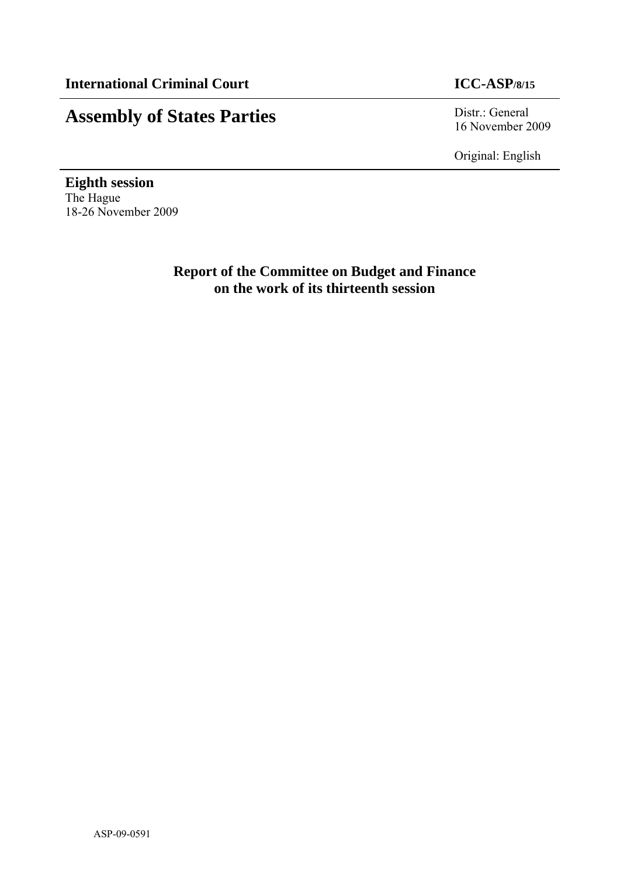# **Assembly of States Parties** Distr.: General

16 November 2009

Original: English

**Eighth session**  The Hague 18-26 November 2009

> **Report of the Committee on Budget and Finance on the work of its thirteenth session**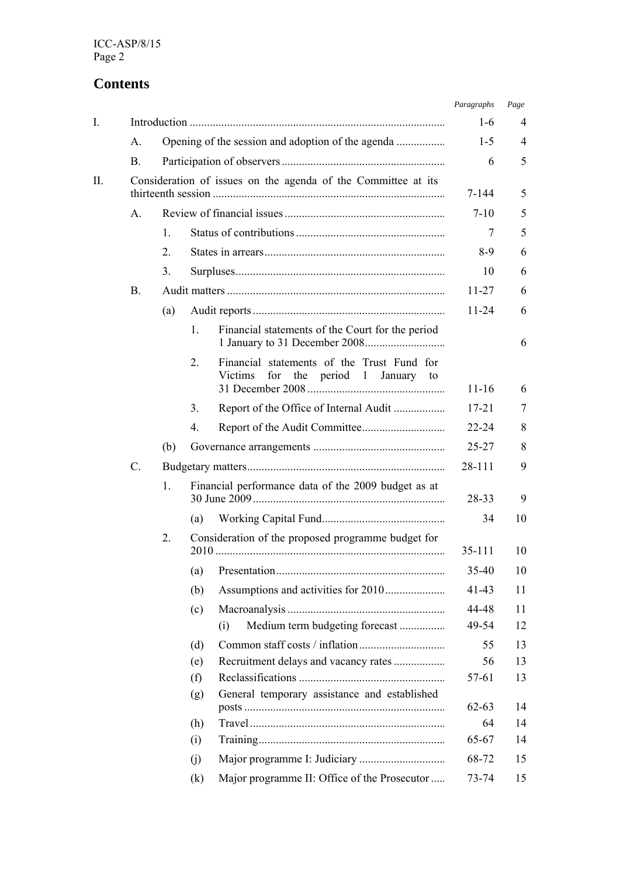## **Contents**

|     |                |                |                |                                                                                      | Paragraphs | Page |
|-----|----------------|----------------|----------------|--------------------------------------------------------------------------------------|------------|------|
| I.  |                |                |                |                                                                                      | $1-6$      | 4    |
|     | $\mathsf{A}$ . |                |                |                                                                                      | $1-5$      | 4    |
|     | <b>B.</b>      |                |                |                                                                                      | 6          | 5    |
| II. |                |                |                | Consideration of issues on the agenda of the Committee at its                        | 7-144      | 5    |
|     | A.             |                |                |                                                                                      | $7 - 10$   | 5    |
|     |                | $\mathbf{1}$ . |                |                                                                                      | 7          | 5    |
|     |                | 2.             |                |                                                                                      | $8-9$      | 6    |
|     |                | 3.             |                |                                                                                      | 10         | 6    |
|     | B.             |                |                |                                                                                      | $11 - 27$  | 6    |
|     |                | (a)            |                |                                                                                      | $11 - 24$  | 6    |
|     |                |                | $\mathbf{1}$ . | Financial statements of the Court for the period                                     |            | 6    |
|     |                |                | 2.             | Financial statements of the Trust Fund for<br>Victims<br>for the period 1 January to | $11 - 16$  | 6    |
|     |                |                | 3.             | Report of the Office of Internal Audit                                               | $17 - 21$  | 7    |
|     |                |                | 4.             |                                                                                      | 22-24      | 8    |
|     |                | (b)            |                |                                                                                      | 25-27      | 8    |
|     | C.             |                |                |                                                                                      | 28-111     | 9    |
|     |                | 1.             |                | Financial performance data of the 2009 budget as at                                  | 28-33      | 9    |
|     |                |                | (a)            |                                                                                      | 34         | 10   |
|     |                | 2.             |                | Consideration of the proposed programme budget for                                   | $35 - 111$ | 10   |
|     |                |                | (a)            |                                                                                      | 35-40      | 10   |
|     |                |                | (b)            |                                                                                      | 41-43      | 11   |
|     |                |                | (c)            |                                                                                      | 44-48      | 11   |
|     |                |                |                | Medium term budgeting forecast<br>(i)                                                | 49-54      | 12   |
|     |                |                | (d)            |                                                                                      | 55         | 13   |
|     |                |                | (e)            |                                                                                      | 56         | 13   |
|     |                |                | (f)            |                                                                                      | 57-61      | 13   |
|     |                |                | (g)            | General temporary assistance and established                                         | $62 - 63$  | 14   |
|     |                |                | (h)            |                                                                                      | 64         | 14   |
|     |                |                | (i)            |                                                                                      | 65-67      | 14   |
|     |                |                | (j)            |                                                                                      | 68-72      | 15   |
|     |                |                | (k)            | Major programme II: Office of the Prosecutor                                         | 73-74      | 15   |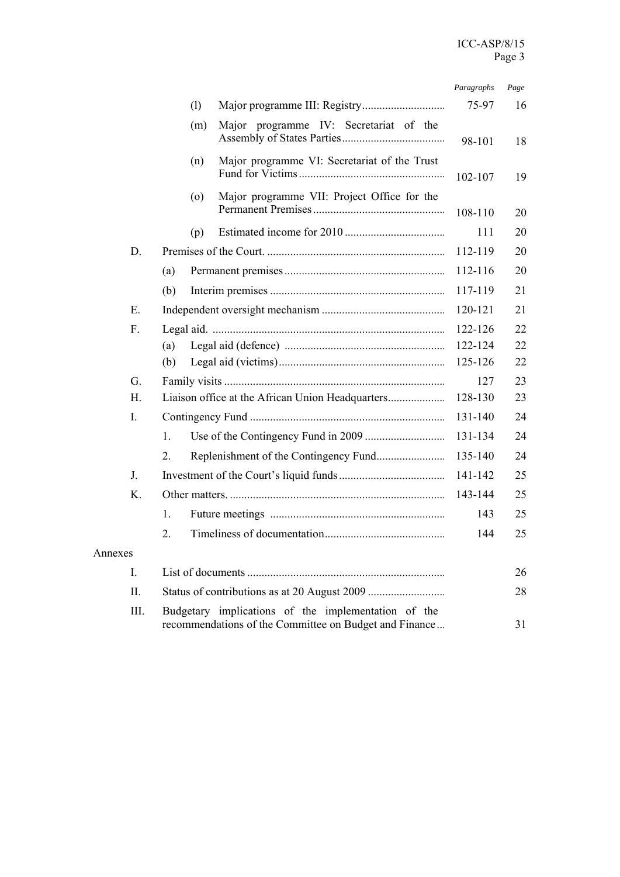|                |                |     |                                                                                                               | Paragraphs | Page |
|----------------|----------------|-----|---------------------------------------------------------------------------------------------------------------|------------|------|
|                |                | (1) |                                                                                                               | 75-97      | 16   |
|                |                | (m) | Major programme IV: Secretariat of the                                                                        | 98-101     | 18   |
|                |                | (n) | Major programme VI: Secretariat of the Trust                                                                  | 102-107    | 19   |
|                |                | (0) | Major programme VII: Project Office for the                                                                   | 108-110    | 20   |
|                |                | (p) |                                                                                                               | 111        | 20   |
| D.             |                |     |                                                                                                               | 112-119    | 20   |
|                | (a)            |     |                                                                                                               | 112-116    | 20   |
|                | (b)            |     |                                                                                                               | 117-119    | 21   |
| Е.             |                |     |                                                                                                               | 120-121    | 21   |
| $F_{\cdot}$    |                |     |                                                                                                               | 122-126    | 22   |
|                | (a)            |     |                                                                                                               | 122-124    | 22   |
|                | (b)            |     |                                                                                                               | 125-126    | 22   |
| G.             |                |     |                                                                                                               | 127        | 23   |
| H.             |                |     |                                                                                                               | 128-130    | 23   |
| $\mathbf{I}$ . |                |     |                                                                                                               | 131-140    | 24   |
|                | $\mathbf{1}$ . |     |                                                                                                               | 131-134    | 24   |
|                | 2.             |     |                                                                                                               | 135-140    | 24   |
| J.             |                |     |                                                                                                               | 141-142    | 25   |
| K.             |                |     |                                                                                                               | 143-144    | 25   |
|                | $\mathbf{1}$ . |     |                                                                                                               | 143        | 25   |
|                | 2.             |     |                                                                                                               | 144        | 25   |
| Annexes        |                |     |                                                                                                               |            |      |
| I.             |                |     |                                                                                                               |            | 26   |
| II.            |                |     |                                                                                                               |            | 28   |
| III.           |                |     | Budgetary implications of the implementation of the<br>recommendations of the Committee on Budget and Finance |            | 31   |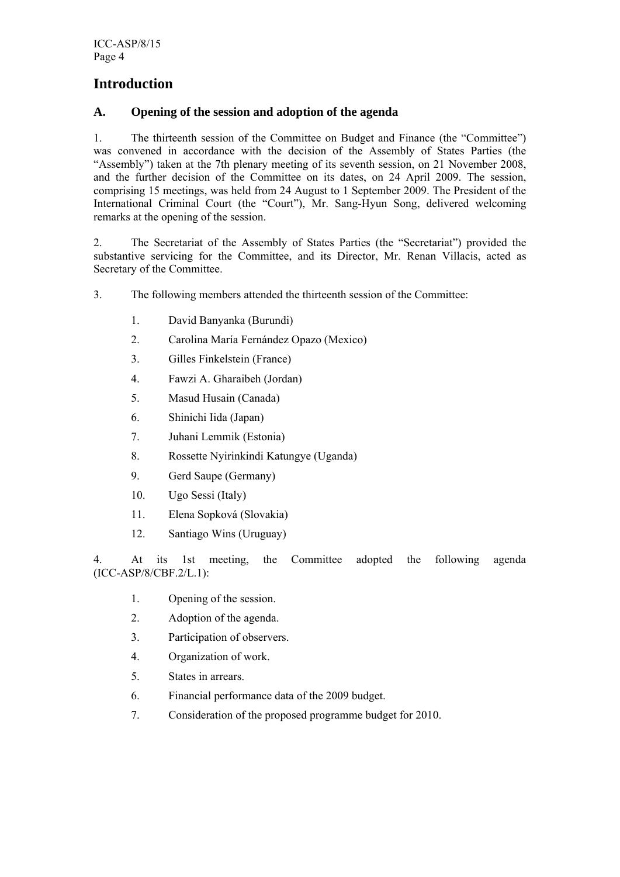## **Introduction**

## **A. Opening of the session and adoption of the agenda**

1. The thirteenth session of the Committee on Budget and Finance (the "Committee") was convened in accordance with the decision of the Assembly of States Parties (the "Assembly") taken at the 7th plenary meeting of its seventh session, on 21 November 2008, and the further decision of the Committee on its dates, on 24 April 2009. The session, comprising 15 meetings, was held from 24 August to 1 September 2009. The President of the International Criminal Court (the "Court"), Mr. Sang-Hyun Song, delivered welcoming remarks at the opening of the session.

2. The Secretariat of the Assembly of States Parties (the "Secretariat") provided the substantive servicing for the Committee, and its Director, Mr. Renan Villacis, acted as Secretary of the Committee.

- 3. The following members attended the thirteenth session of the Committee:
	- 1. David Banyanka (Burundi)
	- 2. Carolina María Fernández Opazo (Mexico)
	- 3. Gilles Finkelstein (France)
	- 4. Fawzi A. Gharaibeh (Jordan)
	- 5. Masud Husain (Canada)
	- 6. Shinichi Iida (Japan)
	- 7. Juhani Lemmik (Estonia)
	- 8. Rossette Nyirinkindi Katungye (Uganda)
	- 9. Gerd Saupe (Germany)
	- 10. Ugo Sessi (Italy)
	- 11. Elena Sopková (Slovakia)
	- 12. Santiago Wins (Uruguay)

4. At its 1st meeting, the Committee adopted the following agenda (ICC-ASP/8/CBF.2/L.1):

- 1. Opening of the session.
- 2. Adoption of the agenda.
- 3. Participation of observers.
- 4. Organization of work.
- 5. States in arrears.
- 6. Financial performance data of the 2009 budget.
- 7. Consideration of the proposed programme budget for 2010.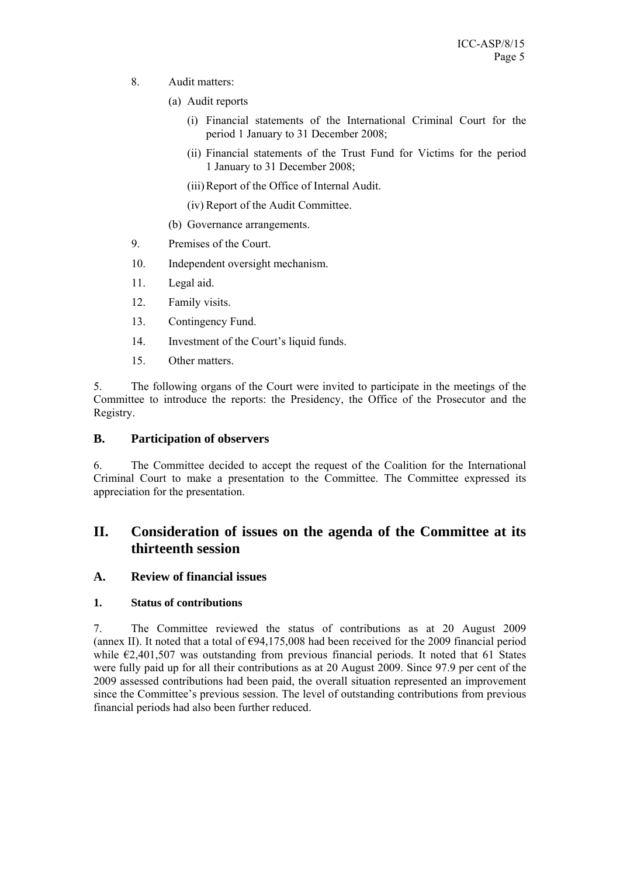- 8. Audit matters:
	- (a) Audit reports
		- (i) Financial statements of the International Criminal Court for the period 1 January to 31 December 2008;
		- (ii) Financial statements of the Trust Fund for Victims for the period 1 January to 31 December 2008;
		- (iii)Report of the Office of Internal Audit.
		- (iv) Report of the Audit Committee.
	- (b) Governance arrangements.
- 9. Premises of the Court.
- 10. Independent oversight mechanism.
- 11. Legal aid.
- 12. Family visits.
- 13. Contingency Fund.
- 14. Investment of the Court's liquid funds.
- 15. Other matters.

5. The following organs of the Court were invited to participate in the meetings of the Committee to introduce the reports: the Presidency, the Office of the Prosecutor and the Registry.

#### **B. Participation of observers**

6. The Committee decided to accept the request of the Coalition for the International Criminal Court to make a presentation to the Committee. The Committee expressed its appreciation for the presentation.

## **II. Consideration of issues on the agenda of the Committee at its thirteenth session**

## **A. Review of financial issues**

#### **1. Status of contributions**

7. The Committee reviewed the status of contributions as at 20 August 2009 (annex II). It noted that a total of  $\epsilon$ 94,175,008 had been received for the 2009 financial period while  $\epsilon$ 2,401,507 was outstanding from previous financial periods. It noted that 61 States were fully paid up for all their contributions as at 20 August 2009. Since 97.9 per cent of the 2009 assessed contributions had been paid, the overall situation represented an improvement since the Committee's previous session. The level of outstanding contributions from previous financial periods had also been further reduced.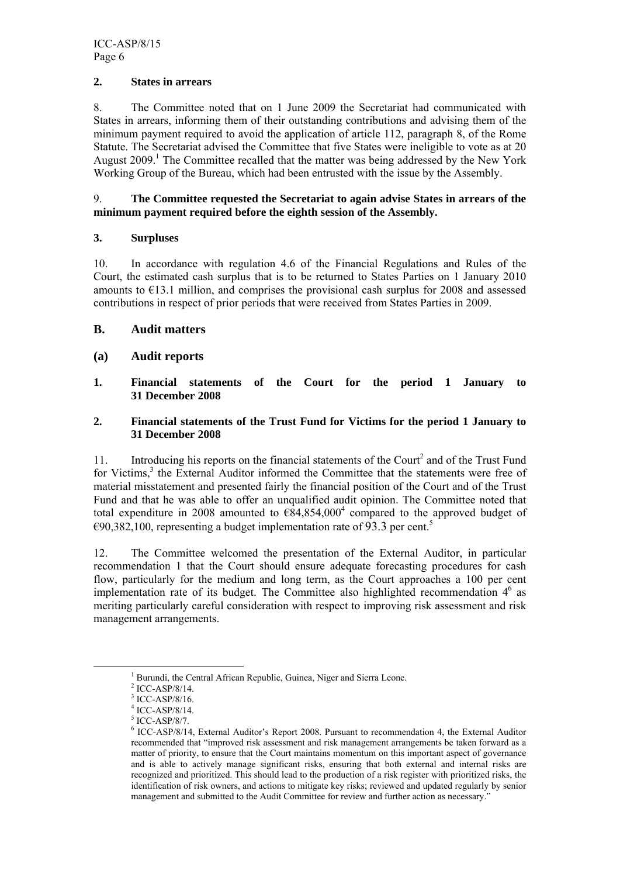#### **2. States in arrears**

8. The Committee noted that on 1 June 2009 the Secretariat had communicated with States in arrears, informing them of their outstanding contributions and advising them of the minimum payment required to avoid the application of article 112, paragraph 8, of the Rome Statute. The Secretariat advised the Committee that five States were ineligible to vote as at 20 August 2009.<sup>1</sup> The Committee recalled that the matter was being addressed by the New York Working Group of the Bureau, which had been entrusted with the issue by the Assembly.

#### 9. **The Committee requested the Secretariat to again advise States in arrears of the minimum payment required before the eighth session of the Assembly.**

#### **3. Surpluses**

10. In accordance with regulation 4.6 of the Financial Regulations and Rules of the Court, the estimated cash surplus that is to be returned to States Parties on 1 January 2010 amounts to  $E13.1$  million, and comprises the provisional cash surplus for 2008 and assessed contributions in respect of prior periods that were received from States Parties in 2009.

#### **B. Audit matters**

#### **(a) Audit reports**

**1. Financial statements of the Court for the period 1 January to 31 December 2008** 

#### **2. Financial statements of the Trust Fund for Victims for the period 1 January to 31 December 2008**

11. Introducing his reports on the financial statements of the Court<sup>2</sup> and of the Trust Fund for Victims,<sup>3</sup> the External Auditor informed the Committee that the statements were free of material misstatement and presented fairly the financial position of the Court and of the Trust Fund and that he was able to offer an unqualified audit opinion. The Committee noted that total expenditure in 2008 amounted to  $\epsilon$ 84,854,000<sup>4</sup> compared to the approved budget of €90,382,100, representing a budget implementation rate of 93.3 per cent.<sup>5</sup>

12. The Committee welcomed the presentation of the External Auditor, in particular recommendation 1 that the Court should ensure adequate forecasting procedures for cash flow, particularly for the medium and long term, as the Court approaches a 100 per cent implementation rate of its budget. The Committee also highlighted recommendation  $4<sup>6</sup>$  as meriting particularly careful consideration with respect to improving risk assessment and risk management arrangements.

 $\frac{1}{1}$  $<sup>1</sup>$  Burundi, the Central African Republic, Guinea, Niger and Sierra Leone.</sup>

 $2$  ICC-ASP/8/14.

<sup>3</sup> ICC-ASP/8/16.

<sup>4</sup> ICC-ASP/8/14.

<sup>5</sup> ICC-ASP/8/7.

<sup>6</sup> ICC-ASP/8/14, External Auditor's Report 2008. Pursuant to recommendation 4, the External Auditor recommended that "improved risk assessment and risk management arrangements be taken forward as a matter of priority, to ensure that the Court maintains momentum on this important aspect of governance and is able to actively manage significant risks, ensuring that both external and internal risks are recognized and prioritized. This should lead to the production of a risk register with prioritized risks, the identification of risk owners, and actions to mitigate key risks; reviewed and updated regularly by senior management and submitted to the Audit Committee for review and further action as necessary."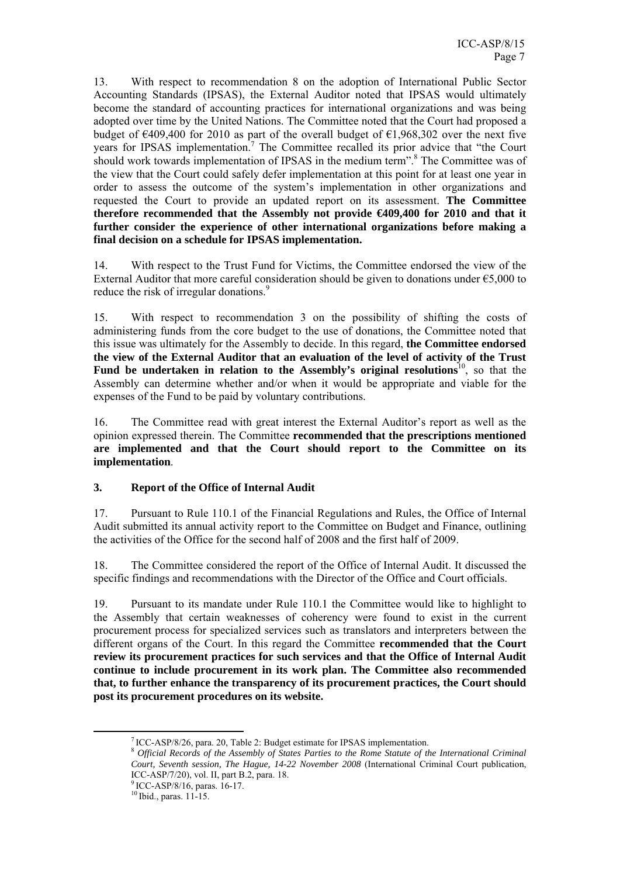13. With respect to recommendation 8 on the adoption of International Public Sector Accounting Standards (IPSAS), the External Auditor noted that IPSAS would ultimately become the standard of accounting practices for international organizations and was being adopted over time by the United Nations. The Committee noted that the Court had proposed a budget of  $\epsilon$ 409,400 for 2010 as part of the overall budget of  $\epsilon$ 1,968,302 over the next five years for IPSAS implementation.<sup>7</sup> The Committee recalled its prior advice that "the Court should work towards implementation of IPSAS in the medium term".<sup>8</sup> The Committee was of the view that the Court could safely defer implementation at this point for at least one year in order to assess the outcome of the system's implementation in other organizations and requested the Court to provide an updated report on its assessment. **The Committee therefore recommended that the Assembly not provide €409,400 for 2010 and that it further consider the experience of other international organizations before making a final decision on a schedule for IPSAS implementation.**

14. With respect to the Trust Fund for Victims, the Committee endorsed the view of the External Auditor that more careful consideration should be given to donations under €5,000 to reduce the risk of irregular donations.<sup>9</sup>

15. With respect to recommendation 3 on the possibility of shifting the costs of administering funds from the core budget to the use of donations, the Committee noted that this issue was ultimately for the Assembly to decide. In this regard, **the Committee endorsed the view of the External Auditor that an evaluation of the level of activity of the Trust Fund be undertaken in relation to the Assembly's original resolutions<sup>10</sup>, so that the** Assembly can determine whether and/or when it would be appropriate and viable for the expenses of the Fund to be paid by voluntary contributions.

16. The Committee read with great interest the External Auditor's report as well as the opinion expressed therein. The Committee **recommended that the prescriptions mentioned are implemented and that the Court should report to the Committee on its implementation**.

## **3. Report of the Office of Internal Audit**

17. Pursuant to Rule 110.1 of the Financial Regulations and Rules, the Office of Internal Audit submitted its annual activity report to the Committee on Budget and Finance, outlining the activities of the Office for the second half of 2008 and the first half of 2009.

18. The Committee considered the report of the Office of Internal Audit. It discussed the specific findings and recommendations with the Director of the Office and Court officials.

19. Pursuant to its mandate under Rule 110.1 the Committee would like to highlight to the Assembly that certain weaknesses of coherency were found to exist in the current procurement process for specialized services such as translators and interpreters between the different organs of the Court. In this regard the Committee **recommended that the Court review its procurement practices for such services and that the Office of Internal Audit continue to include procurement in its work plan. The Committee also recommended that, to further enhance the transparency of its procurement practices, the Court should post its procurement procedures on its website.**

 <sup>7</sup> ICC-ASP/8/26, para. 20, Table 2: Budget estimate for IPSAS implementation. <sup>8</sup> *Official Records of the Assembly of States Parties to the Rome Statute of the International Criminal Court, Seventh session, The Hague, 14-22 November 2008* (International Criminal Court publication, ICC-ASP/7/20), vol. II, part B.2, para. 18.

<sup>9</sup> ICC-ASP/8/16, paras. 16-17.

<sup>10</sup> Ibid., paras. 11-15.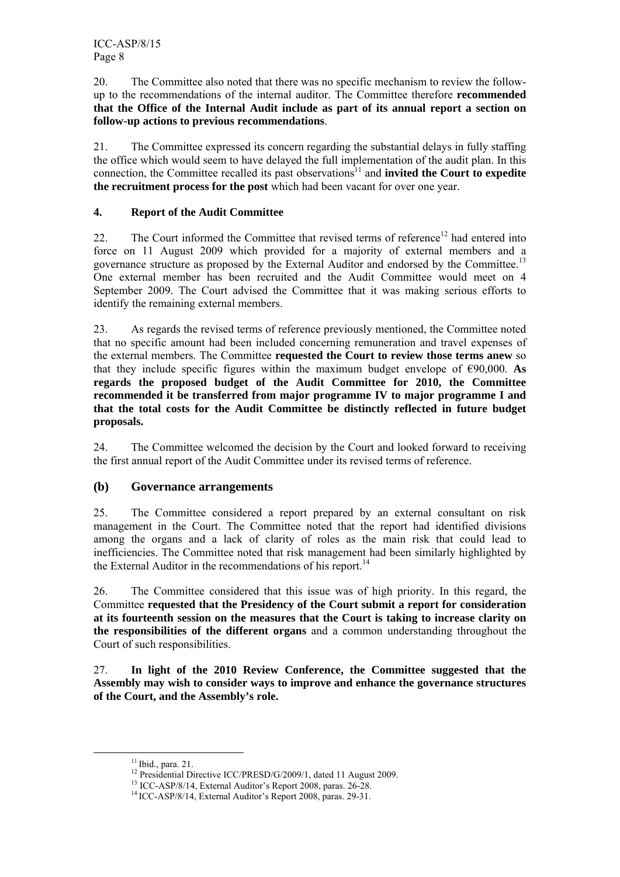20. The Committee also noted that there was no specific mechanism to review the followup to the recommendations of the internal auditor. The Committee therefore **recommended that the Office of the Internal Audit include as part of its annual report a section on follow-up actions to previous recommendations**.

21. The Committee expressed its concern regarding the substantial delays in fully staffing the office which would seem to have delayed the full implementation of the audit plan. In this connection, the Committee recalled its past observations<sup>11</sup> and **invited the Court to expedite the recruitment process for the post** which had been vacant for over one year.

## **4. Report of the Audit Committee**

22. The Court informed the Committee that revised terms of reference<sup>12</sup> had entered into force on 11 August 2009 which provided for a majority of external members and a governance structure as proposed by the External Auditor and endorsed by the Committee.<sup>13</sup> One external member has been recruited and the Audit Committee would meet on 4 September 2009. The Court advised the Committee that it was making serious efforts to identify the remaining external members.

23. As regards the revised terms of reference previously mentioned, the Committee noted that no specific amount had been included concerning remuneration and travel expenses of the external members. The Committee **requested the Court to review those terms anew** so that they include specific figures within the maximum budget envelope of  $\epsilon$ 90,000. As **regards the proposed budget of the Audit Committee for 2010, the Committee recommended it be transferred from major programme IV to major programme I and that the total costs for the Audit Committee be distinctly reflected in future budget proposals.** 

24. The Committee welcomed the decision by the Court and looked forward to receiving the first annual report of the Audit Committee under its revised terms of reference.

## **(b) Governance arrangements**

25. The Committee considered a report prepared by an external consultant on risk management in the Court. The Committee noted that the report had identified divisions among the organs and a lack of clarity of roles as the main risk that could lead to inefficiencies. The Committee noted that risk management had been similarly highlighted by the External Auditor in the recommendations of his report.<sup>14</sup>

26. The Committee considered that this issue was of high priority. In this regard, the Committee **requested that the Presidency of the Court submit a report for consideration at its fourteenth session on the measures that the Court is taking to increase clarity on the responsibilities of the different organs** and a common understanding throughout the Court of such responsibilities.

27. **In light of the 2010 Review Conference, the Committee suggested that the Assembly may wish to consider ways to improve and enhance the governance structures of the Court, and the Assembly's role.** 

<sup>&</sup>lt;sup>11</sup> Ibid., para. 21. <sup>12</sup> Presidential Directive ICC/PRESD/G/2009/1, dated 11 August 2009. <sup>13</sup> ICC-ASP/8/14, External Auditor's Report 2008, paras. 26-28.

<sup>&</sup>lt;sup>14</sup> ICC-ASP/8/14, External Auditor's Report 2008, paras. 29-31.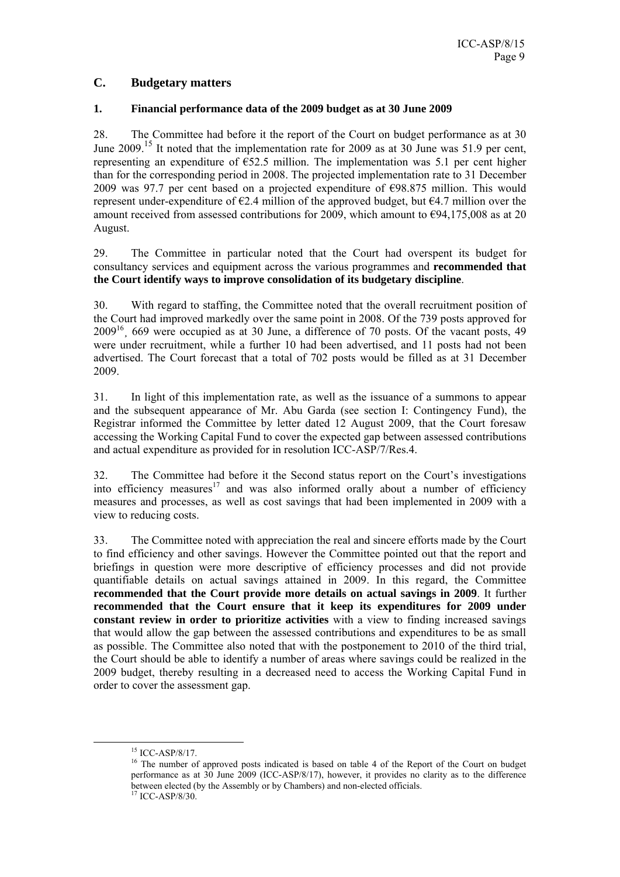## **C. Budgetary matters**

#### **1. Financial performance data of the 2009 budget as at 30 June 2009**

28. The Committee had before it the report of the Court on budget performance as at 30 June 2009.<sup>15</sup> It noted that the implementation rate for 2009 as at 30 June was 51.9 per cent, representing an expenditure of  $E$ 52.5 million. The implementation was 5.1 per cent higher than for the corresponding period in 2008. The projected implementation rate to 31 December 2009 was 97.7 per cent based on a projected expenditure of  $\epsilon$ 98.875 million. This would represent under-expenditure of  $E2.4$  million of the approved budget, but  $E4.7$  million over the amount received from assessed contributions for 2009, which amount to  $\epsilon$ 94,175,008 as at 20 August.

29. The Committee in particular noted that the Court had overspent its budget for consultancy services and equipment across the various programmes and **recommended that the Court identify ways to improve consolidation of its budgetary discipline**.

30. With regard to staffing, the Committee noted that the overall recruitment position of the Court had improved markedly over the same point in 2008. Of the 739 posts approved for 200916¸ 669 were occupied as at 30 June, a difference of 70 posts. Of the vacant posts, 49 were under recruitment, while a further 10 had been advertised, and 11 posts had not been advertised. The Court forecast that a total of 702 posts would be filled as at 31 December 2009.

31. In light of this implementation rate, as well as the issuance of a summons to appear and the subsequent appearance of Mr. Abu Garda (see section I: Contingency Fund), the Registrar informed the Committee by letter dated 12 August 2009, that the Court foresaw accessing the Working Capital Fund to cover the expected gap between assessed contributions and actual expenditure as provided for in resolution ICC-ASP/7/Res.4.

32. The Committee had before it the Second status report on the Court's investigations into efficiency measures<sup>17</sup> and was also informed orally about a number of efficiency measures and processes, as well as cost savings that had been implemented in 2009 with a view to reducing costs.

33. The Committee noted with appreciation the real and sincere efforts made by the Court to find efficiency and other savings. However the Committee pointed out that the report and briefings in question were more descriptive of efficiency processes and did not provide quantifiable details on actual savings attained in 2009. In this regard, the Committee **recommended that the Court provide more details on actual savings in 2009**. It further **recommended that the Court ensure that it keep its expenditures for 2009 under constant review in order to prioritize activities** with a view to finding increased savings that would allow the gap between the assessed contributions and expenditures to be as small as possible. The Committee also noted that with the postponement to 2010 of the third trial, the Court should be able to identify a number of areas where savings could be realized in the 2009 budget, thereby resulting in a decreased need to access the Working Capital Fund in order to cover the assessment gap.

 <sup>15</sup> ICC-ASP/8/17.

<sup>&</sup>lt;sup>16</sup> The number of approved posts indicated is based on table 4 of the Report of the Court on budget performance as at 30 June 2009 (ICC-ASP/8/17), however, it provides no clarity as to the difference between elected (by the Assembly or by Chambers) and non-elected officials. 17 ICC-ASP/8/30.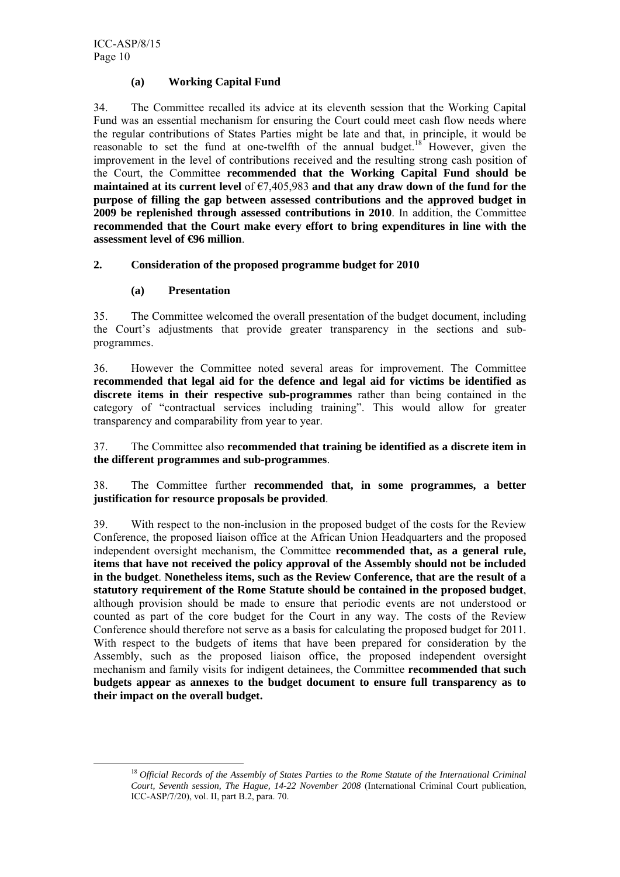#### **(a) Working Capital Fund**

34. The Committee recalled its advice at its eleventh session that the Working Capital Fund was an essential mechanism for ensuring the Court could meet cash flow needs where the regular contributions of States Parties might be late and that, in principle, it would be reasonable to set the fund at one-twelfth of the annual budget.<sup>18</sup> However, given the improvement in the level of contributions received and the resulting strong cash position of the Court, the Committee **recommended that the Working Capital Fund should be maintained at its current level** of €7,405,983 **and that any draw down of the fund for the purpose of filling the gap between assessed contributions and the approved budget in 2009 be replenished through assessed contributions in 2010**. In addition, the Committee **recommended that the Court make every effort to bring expenditures in line with the assessment level of €96 million**.

## **2. Consideration of the proposed programme budget for 2010**

#### **(a) Presentation**

35. The Committee welcomed the overall presentation of the budget document, including the Court's adjustments that provide greater transparency in the sections and subprogrammes.

36. However the Committee noted several areas for improvement. The Committee **recommended that legal aid for the defence and legal aid for victims be identified as discrete items in their respective sub-programmes** rather than being contained in the category of "contractual services including training". This would allow for greater transparency and comparability from year to year.

37. The Committee also **recommended that training be identified as a discrete item in the different programmes and sub-programmes**.

38. The Committee further **recommended that, in some programmes, a better justification for resource proposals be provided**.

39. With respect to the non-inclusion in the proposed budget of the costs for the Review Conference, the proposed liaison office at the African Union Headquarters and the proposed independent oversight mechanism, the Committee **recommended that, as a general rule, items that have not received the policy approval of the Assembly should not be included in the budget**. **Nonetheless items, such as the Review Conference, that are the result of a statutory requirement of the Rome Statute should be contained in the proposed budget**, although provision should be made to ensure that periodic events are not understood or counted as part of the core budget for the Court in any way. The costs of the Review Conference should therefore not serve as a basis for calculating the proposed budget for 2011. With respect to the budgets of items that have been prepared for consideration by the Assembly, such as the proposed liaison office, the proposed independent oversight mechanism and family visits for indigent detainees, the Committee **recommended that such budgets appear as annexes to the budget document to ensure full transparency as to their impact on the overall budget.**

 <sup>18</sup> *Official Records of the Assembly of States Parties to the Rome Statute of the International Criminal Court, Seventh session, The Hague, 14-22 November 2008* (International Criminal Court publication, ICC-ASP/7/20), vol. II, part B.2, para. 70.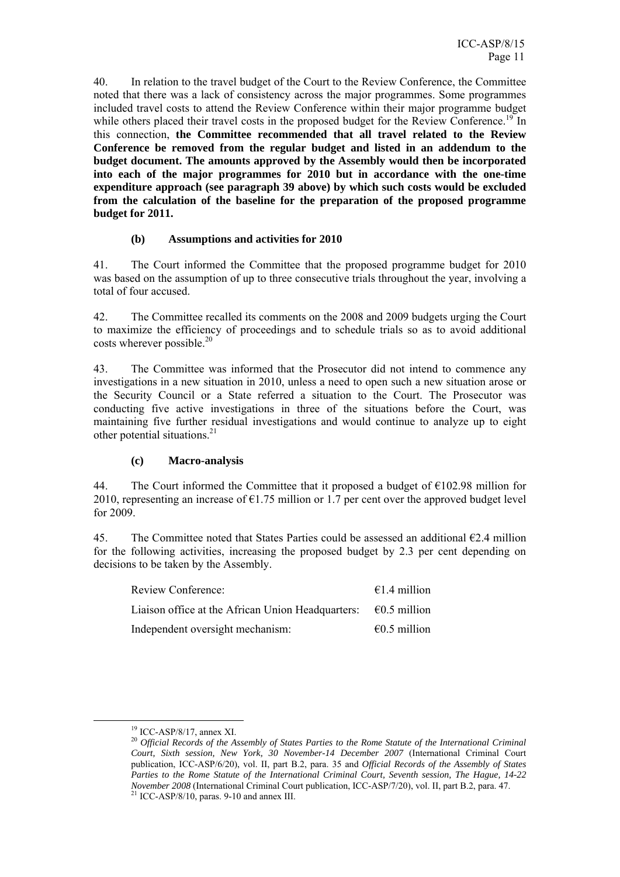40. In relation to the travel budget of the Court to the Review Conference, the Committee noted that there was a lack of consistency across the major programmes. Some programmes included travel costs to attend the Review Conference within their major programme budget while others placed their travel costs in the proposed budget for the Review Conference.<sup>19</sup> In this connection, **the Committee recommended that all travel related to the Review Conference be removed from the regular budget and listed in an addendum to the budget document. The amounts approved by the Assembly would then be incorporated into each of the major programmes for 2010 but in accordance with the one-time expenditure approach (see paragraph 39 above) by which such costs would be excluded from the calculation of the baseline for the preparation of the proposed programme budget for 2011.** 

#### **(b) Assumptions and activities for 2010**

41. The Court informed the Committee that the proposed programme budget for 2010 was based on the assumption of up to three consecutive trials throughout the year, involving a total of four accused.

42. The Committee recalled its comments on the 2008 and 2009 budgets urging the Court to maximize the efficiency of proceedings and to schedule trials so as to avoid additional costs wherever possible. $20$ 

43. The Committee was informed that the Prosecutor did not intend to commence any investigations in a new situation in 2010, unless a need to open such a new situation arose or the Security Council or a State referred a situation to the Court. The Prosecutor was conducting five active investigations in three of the situations before the Court, was maintaining five further residual investigations and would continue to analyze up to eight other potential situations.<sup>21</sup>

#### **(c) Macro-analysis**

44. The Court informed the Committee that it proposed a budget of  $\epsilon$ 102.98 million for 2010, representing an increase of  $\epsilon$ 1.75 million or 1.7 per cent over the approved budget level for 2009.

45. The Committee noted that States Parties could be assessed an additional  $\epsilon$ 2.4 million for the following activities, increasing the proposed budget by 2.3 per cent depending on decisions to be taken by the Assembly.

| Review Conference:                                | $\epsilon$ 1.4 million |
|---------------------------------------------------|------------------------|
| Liaison office at the African Union Headquarters: | €0.5 million           |
| Independent oversight mechanism:                  | $\epsilon$ 0.5 million |

 <sup>19</sup> ICC-ASP/8/17, annex XI.

<sup>20</sup> *Official Records of the Assembly of States Parties to the Rome Statute of the International Criminal Court, Sixth session, New York, 30 November-14 December 2007* (International Criminal Court publication, ICC-ASP/6/20), vol. II, part B.2, para. 35 and *Official Records of the Assembly of States Parties to the Rome Statute of the International Criminal Court, Seventh session, The Hague, 14-22 November 2008* (International Criminal Court publication, ICC-ASP/7/20), vol. II, part B.2, para. 47. <sup>21</sup> ICC-ASP/8/10, paras. 9-10 and annex III.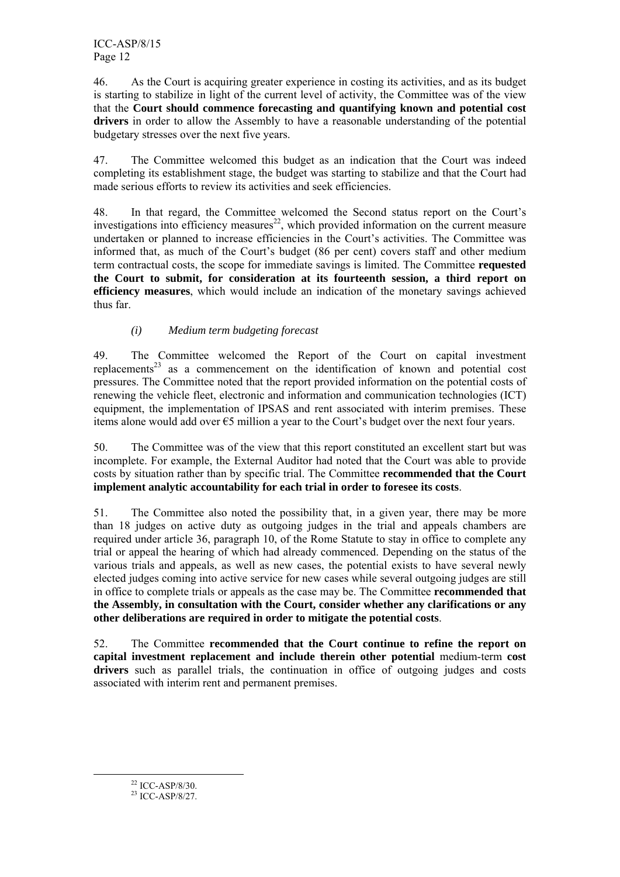46. As the Court is acquiring greater experience in costing its activities, and as its budget is starting to stabilize in light of the current level of activity, the Committee was of the view that the **Court should commence forecasting and quantifying known and potential cost drivers** in order to allow the Assembly to have a reasonable understanding of the potential budgetary stresses over the next five years.

47. The Committee welcomed this budget as an indication that the Court was indeed completing its establishment stage, the budget was starting to stabilize and that the Court had made serious efforts to review its activities and seek efficiencies.

48. In that regard, the Committee welcomed the Second status report on the Court's investigations into efficiency measures<sup>22</sup>, which provided information on the current measure undertaken or planned to increase efficiencies in the Court's activities. The Committee was informed that, as much of the Court's budget (86 per cent) covers staff and other medium term contractual costs, the scope for immediate savings is limited. The Committee **requested the Court to submit, for consideration at its fourteenth session, a third report on efficiency measures**, which would include an indication of the monetary savings achieved thus far.

## *(i) Medium term budgeting forecast*

49. The Committee welcomed the Report of the Court on capital investment replacements<sup>23</sup> as a commencement on the identification of known and potential cost pressures. The Committee noted that the report provided information on the potential costs of renewing the vehicle fleet, electronic and information and communication technologies (ICT) equipment, the implementation of IPSAS and rent associated with interim premises. These items alone would add over  $\epsilon$ 5 million a year to the Court's budget over the next four years.

50. The Committee was of the view that this report constituted an excellent start but was incomplete. For example, the External Auditor had noted that the Court was able to provide costs by situation rather than by specific trial. The Committee **recommended that the Court implement analytic accountability for each trial in order to foresee its costs**.

51. The Committee also noted the possibility that, in a given year, there may be more than 18 judges on active duty as outgoing judges in the trial and appeals chambers are required under article 36, paragraph 10, of the Rome Statute to stay in office to complete any trial or appeal the hearing of which had already commenced. Depending on the status of the various trials and appeals, as well as new cases, the potential exists to have several newly elected judges coming into active service for new cases while several outgoing judges are still in office to complete trials or appeals as the case may be. The Committee **recommended that the Assembly, in consultation with the Court, consider whether any clarifications or any other deliberations are required in order to mitigate the potential costs**.

52. The Committee **recommended that the Court continue to refine the report on capital investment replacement and include therein other potential** medium-term **cost drivers** such as parallel trials, the continuation in office of outgoing judges and costs associated with interim rent and permanent premises.

 <sup>22</sup> ICC-ASP/8/30.

 $23$  ICC-ASP/8/27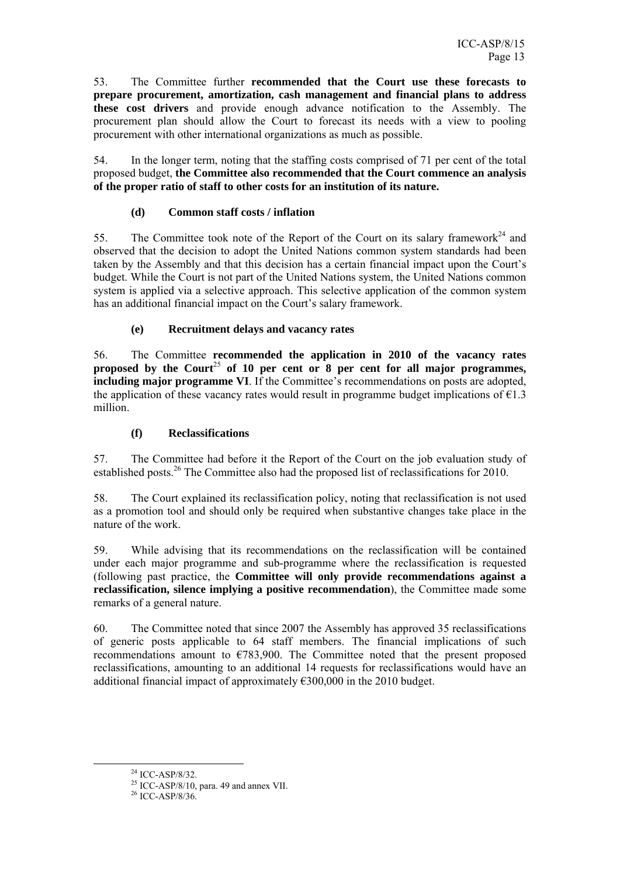53. The Committee further **recommended that the Court use these forecasts to prepare procurement, amortization, cash management and financial plans to address these cost drivers** and provide enough advance notification to the Assembly. The procurement plan should allow the Court to forecast its needs with a view to pooling procurement with other international organizations as much as possible.

54. In the longer term, noting that the staffing costs comprised of 71 per cent of the total proposed budget, **the Committee also recommended that the Court commence an analysis of the proper ratio of staff to other costs for an institution of its nature.**

#### **(d) Common staff costs / inflation**

55. The Committee took note of the Report of the Court on its salary framework<sup>24</sup> and observed that the decision to adopt the United Nations common system standards had been taken by the Assembly and that this decision has a certain financial impact upon the Court's budget. While the Court is not part of the United Nations system, the United Nations common system is applied via a selective approach. This selective application of the common system has an additional financial impact on the Court's salary framework.

#### **(e) Recruitment delays and vacancy rates**

56. The Committee **recommended the application in 2010 of the vacancy rates**  proposed by the Court<sup>25</sup> of 10 per cent or  $\overline{8}$  per cent for all major programmes, **including major programme VI**. If the Committee's recommendations on posts are adopted, the application of these vacancy rates would result in programme budget implications of  $\epsilon$ 1.3 million.

#### **(f) Reclassifications**

57. The Committee had before it the Report of the Court on the job evaluation study of established posts.<sup>26</sup> The Committee also had the proposed list of reclassifications for 2010.

58. The Court explained its reclassification policy, noting that reclassification is not used as a promotion tool and should only be required when substantive changes take place in the nature of the work.

59. While advising that its recommendations on the reclassification will be contained under each major programme and sub-programme where the reclassification is requested (following past practice, the **Committee will only provide recommendations against a reclassification, silence implying a positive recommendation**), the Committee made some remarks of a general nature.

60. The Committee noted that since 2007 the Assembly has approved 35 reclassifications of generic posts applicable to 64 staff members. The financial implications of such recommendations amount to  $\epsilon$ 783,900. The Committee noted that the present proposed reclassifications, amounting to an additional 14 requests for reclassifications would have an additional financial impact of approximately  $\epsilon$ 300,000 in the 2010 budget.

 $^{24}$  ICC-ASP/8/32.

 $25$  ICC-ASP/8/10, para. 49 and annex VII.

 $26$  ICC-ASP/8/36.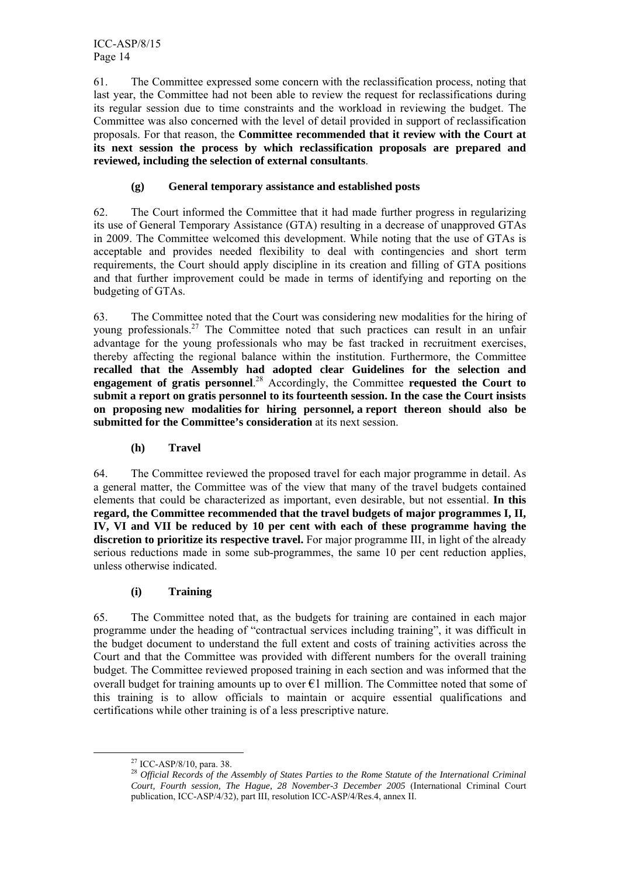ICC-ASP/8/15 Page 14

61. The Committee expressed some concern with the reclassification process, noting that last year, the Committee had not been able to review the request for reclassifications during its regular session due to time constraints and the workload in reviewing the budget. The Committee was also concerned with the level of detail provided in support of reclassification proposals. For that reason, the **Committee recommended that it review with the Court at its next session the process by which reclassification proposals are prepared and reviewed, including the selection of external consultants**.

#### **(g) General temporary assistance and established posts**

62. The Court informed the Committee that it had made further progress in regularizing its use of General Temporary Assistance (GTA) resulting in a decrease of unapproved GTAs in 2009. The Committee welcomed this development. While noting that the use of GTAs is acceptable and provides needed flexibility to deal with contingencies and short term requirements, the Court should apply discipline in its creation and filling of GTA positions and that further improvement could be made in terms of identifying and reporting on the budgeting of GTAs.

63. The Committee noted that the Court was considering new modalities for the hiring of young professionals.<sup>27</sup> The Committee noted that such practices can result in an unfair advantage for the young professionals who may be fast tracked in recruitment exercises, thereby affecting the regional balance within the institution. Furthermore, the Committee **recalled that the Assembly had adopted clear Guidelines for the selection and engagement of gratis personnel**. 28 Accordingly, the Committee **requested the Court to submit a report on gratis personnel to its fourteenth session. In the case the Court insists on proposing new modalities for hiring personnel, a report thereon should also be submitted for the Committee's consideration** at its next session.

#### **(h) Travel**

64. The Committee reviewed the proposed travel for each major programme in detail. As a general matter, the Committee was of the view that many of the travel budgets contained elements that could be characterized as important, even desirable, but not essential. **In this regard, the Committee recommended that the travel budgets of major programmes I, II, IV, VI and VII be reduced by 10 per cent with each of these programme having the discretion to prioritize its respective travel.** For major programme III, in light of the already serious reductions made in some sub-programmes, the same 10 per cent reduction applies, unless otherwise indicated.

#### **(i) Training**

65. The Committee noted that, as the budgets for training are contained in each major programme under the heading of "contractual services including training", it was difficult in the budget document to understand the full extent and costs of training activities across the Court and that the Committee was provided with different numbers for the overall training budget. The Committee reviewed proposed training in each section and was informed that the overall budget for training amounts up to over  $\epsilon$ 1 million. The Committee noted that some of this training is to allow officials to maintain or acquire essential qualifications and certifications while other training is of a less prescriptive nature.

 <sup>27</sup> ICC-ASP/8/10, para. 38.

<sup>28</sup> *Official Records of the Assembly of States Parties to the Rome Statute of the International Criminal Court, Fourth session, The Hague, 28 November-3 December 2005* (International Criminal Court publication, ICC-ASP/4/32), part III, resolution ICC-ASP/4/Res.4, annex II.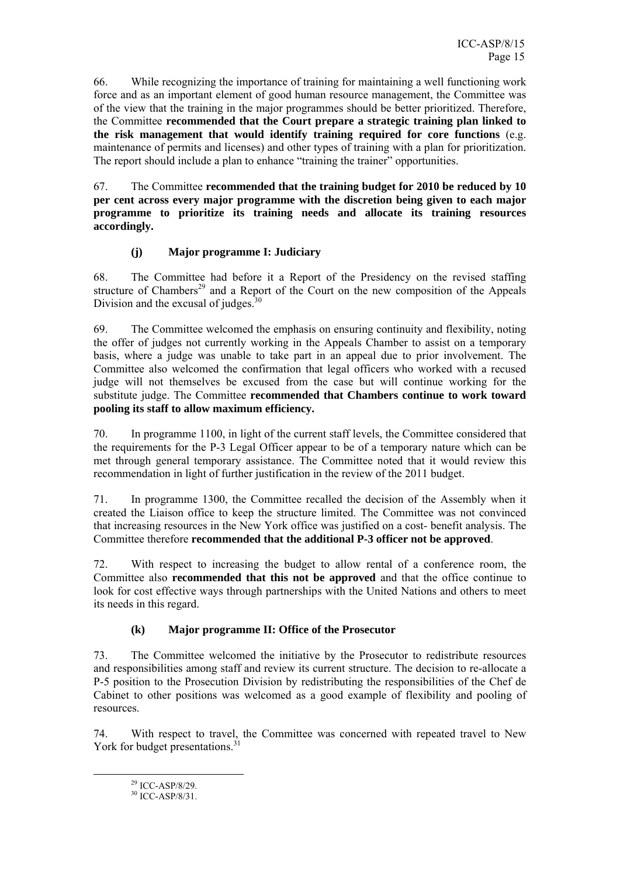66. While recognizing the importance of training for maintaining a well functioning work force and as an important element of good human resource management, the Committee was of the view that the training in the major programmes should be better prioritized. Therefore, the Committee **recommended that the Court prepare a strategic training plan linked to the risk management that would identify training required for core functions** (e.g. maintenance of permits and licenses) and other types of training with a plan for prioritization. The report should include a plan to enhance "training the trainer" opportunities.

67. The Committee **recommended that the training budget for 2010 be reduced by 10 per cent across every major programme with the discretion being given to each major programme to prioritize its training needs and allocate its training resources accordingly.**

## **(j) Major programme I: Judiciary**

68. The Committee had before it a Report of the Presidency on the revised staffing structure of Chambers<sup>29</sup> and a Report of the Court on the new composition of the Appeals Division and the excusal of judges. $30$ 

69. The Committee welcomed the emphasis on ensuring continuity and flexibility, noting the offer of judges not currently working in the Appeals Chamber to assist on a temporary basis, where a judge was unable to take part in an appeal due to prior involvement. The Committee also welcomed the confirmation that legal officers who worked with a recused judge will not themselves be excused from the case but will continue working for the substitute judge. The Committee **recommended that Chambers continue to work toward pooling its staff to allow maximum efficiency.**

70. In programme 1100, in light of the current staff levels, the Committee considered that the requirements for the P-3 Legal Officer appear to be of a temporary nature which can be met through general temporary assistance. The Committee noted that it would review this recommendation in light of further justification in the review of the 2011 budget.

71. In programme 1300, the Committee recalled the decision of the Assembly when it created the Liaison office to keep the structure limited. The Committee was not convinced that increasing resources in the New York office was justified on a cost- benefit analysis. The Committee therefore **recommended that the additional P-3 officer not be approved**.

72. With respect to increasing the budget to allow rental of a conference room, the Committee also **recommended that this not be approved** and that the office continue to look for cost effective ways through partnerships with the United Nations and others to meet its needs in this regard.

#### **(k) Major programme II: Office of the Prosecutor**

73. The Committee welcomed the initiative by the Prosecutor to redistribute resources and responsibilities among staff and review its current structure. The decision to re-allocate a P-5 position to the Prosecution Division by redistributing the responsibilities of the Chef de Cabinet to other positions was welcomed as a good example of flexibility and pooling of resources.

74. With respect to travel, the Committee was concerned with repeated travel to New York for budget presentations.<sup>31</sup>

 <sup>29</sup> ICC-ASP/8/29.

 $30$  ICC-ASP/8/31.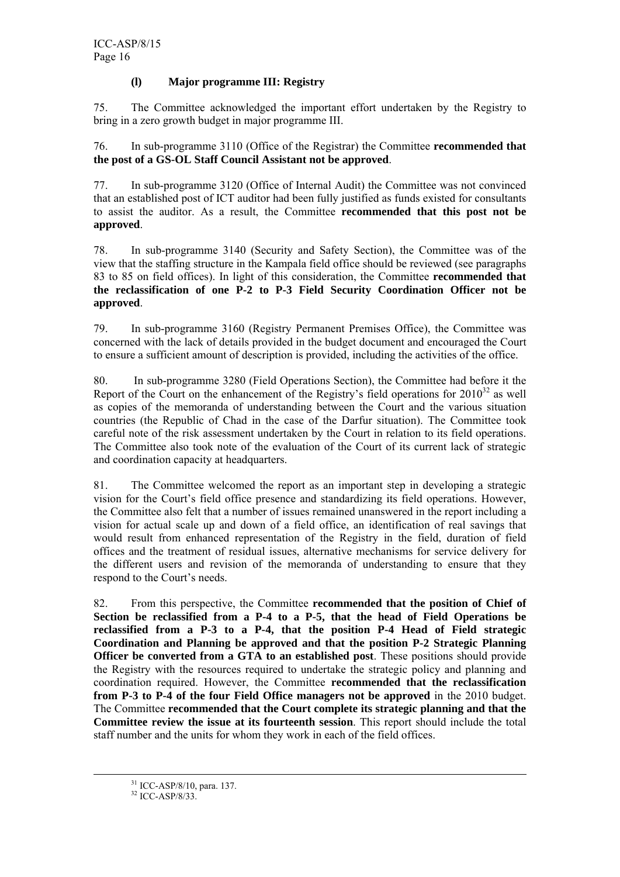#### **(l) Major programme III: Registry**

75. The Committee acknowledged the important effort undertaken by the Registry to bring in a zero growth budget in major programme III.

76. In sub-programme 3110 (Office of the Registrar) the Committee **recommended that the post of a GS-OL Staff Council Assistant not be approved**.

77. In sub-programme 3120 (Office of Internal Audit) the Committee was not convinced that an established post of ICT auditor had been fully justified as funds existed for consultants to assist the auditor. As a result, the Committee **recommended that this post not be approved**.

78. In sub-programme 3140 (Security and Safety Section), the Committee was of the view that the staffing structure in the Kampala field office should be reviewed (see paragraphs 83 to 85 on field offices). In light of this consideration, the Committee **recommended that the reclassification of one P-2 to P-3 Field Security Coordination Officer not be approved**.

79. In sub-programme 3160 (Registry Permanent Premises Office), the Committee was concerned with the lack of details provided in the budget document and encouraged the Court to ensure a sufficient amount of description is provided, including the activities of the office.

80. In sub-programme 3280 (Field Operations Section), the Committee had before it the Report of the Court on the enhancement of the Registry's field operations for  $2010^{32}$  as well as copies of the memoranda of understanding between the Court and the various situation countries (the Republic of Chad in the case of the Darfur situation). The Committee took careful note of the risk assessment undertaken by the Court in relation to its field operations. The Committee also took note of the evaluation of the Court of its current lack of strategic and coordination capacity at headquarters.

81. The Committee welcomed the report as an important step in developing a strategic vision for the Court's field office presence and standardizing its field operations. However, the Committee also felt that a number of issues remained unanswered in the report including a vision for actual scale up and down of a field office, an identification of real savings that would result from enhanced representation of the Registry in the field, duration of field offices and the treatment of residual issues, alternative mechanisms for service delivery for the different users and revision of the memoranda of understanding to ensure that they respond to the Court's needs.

82. From this perspective, the Committee **recommended that the position of Chief of Section be reclassified from a P-4 to a P-5, that the head of Field Operations be reclassified from a P-3 to a P-4, that the position P-4 Head of Field strategic Coordination and Planning be approved and that the position P-2 Strategic Planning Officer be converted from a GTA to an established post**. These positions should provide the Registry with the resources required to undertake the strategic policy and planning and coordination required. However, the Committee **recommended that the reclassification from P-3 to P-4 of the four Field Office managers not be approved** in the 2010 budget. The Committee **recommended that the Court complete its strategic planning and that the Committee review the issue at its fourteenth session**. This report should include the total staff number and the units for whom they work in each of the field offices.

 <sup>31</sup> ICC-ASP/8/10, para. 137.

 $32$  ICC-ASP/8/33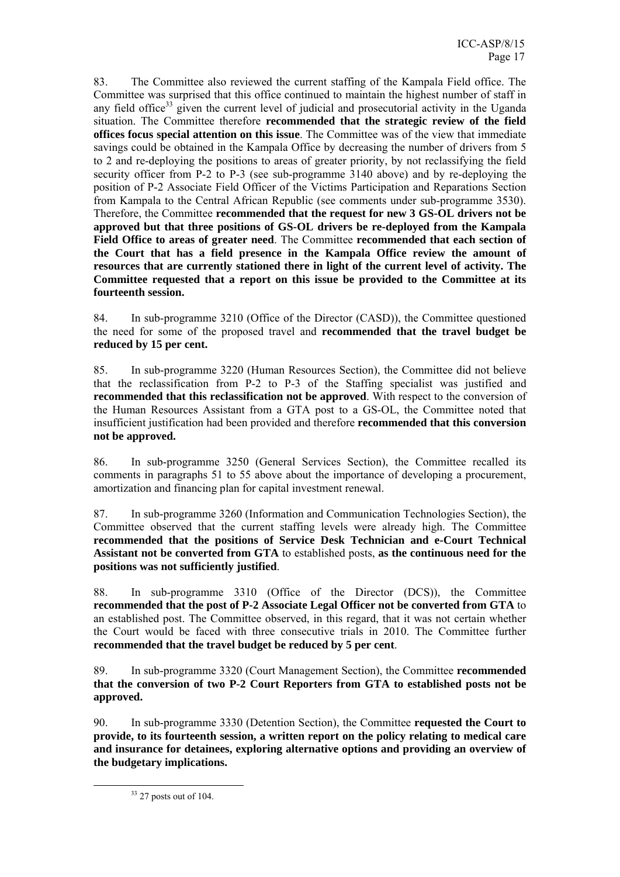83. The Committee also reviewed the current staffing of the Kampala Field office. The Committee was surprised that this office continued to maintain the highest number of staff in any field office<sup>33</sup> given the current level of judicial and prosecutorial activity in the Uganda situation. The Committee therefore **recommended that the strategic review of the field offices focus special attention on this issue**. The Committee was of the view that immediate savings could be obtained in the Kampala Office by decreasing the number of drivers from 5 to 2 and re-deploying the positions to areas of greater priority, by not reclassifying the field security officer from P-2 to P-3 (see sub-programme 3140 above) and by re-deploying the position of P-2 Associate Field Officer of the Victims Participation and Reparations Section from Kampala to the Central African Republic (see comments under sub-programme 3530). Therefore, the Committee **recommended that the request for new 3 GS-OL drivers not be approved but that three positions of GS-OL drivers be re-deployed from the Kampala Field Office to areas of greater need**. The Committee **recommended that each section of the Court that has a field presence in the Kampala Office review the amount of resources that are currently stationed there in light of the current level of activity. The Committee requested that a report on this issue be provided to the Committee at its fourteenth session.**

84. In sub-programme 3210 (Office of the Director (CASD)), the Committee questioned the need for some of the proposed travel and **recommended that the travel budget be reduced by 15 per cent.** 

85. In sub-programme 3220 (Human Resources Section), the Committee did not believe that the reclassification from P-2 to P-3 of the Staffing specialist was justified and **recommended that this reclassification not be approved**. With respect to the conversion of the Human Resources Assistant from a GTA post to a GS-OL, the Committee noted that insufficient justification had been provided and therefore **recommended that this conversion not be approved.** 

86. In sub-programme 3250 (General Services Section), the Committee recalled its comments in paragraphs 51 to 55 above about the importance of developing a procurement, amortization and financing plan for capital investment renewal.

87. In sub-programme 3260 (Information and Communication Technologies Section), the Committee observed that the current staffing levels were already high. The Committee **recommended that the positions of Service Desk Technician and e-Court Technical Assistant not be converted from GTA** to established posts, **as the continuous need for the positions was not sufficiently justified**.

88. In sub-programme 3310 (Office of the Director (DCS)), the Committee **recommended that the post of P-2 Associate Legal Officer not be converted from GTA** to an established post. The Committee observed, in this regard, that it was not certain whether the Court would be faced with three consecutive trials in 2010. The Committee further **recommended that the travel budget be reduced by 5 per cent**.

89. In sub-programme 3320 (Court Management Section), the Committee **recommended that the conversion of two P-2 Court Reporters from GTA to established posts not be approved.**

90. In sub-programme 3330 (Detention Section), the Committee **requested the Court to provide, to its fourteenth session, a written report on the policy relating to medical care and insurance for detainees, exploring alternative options and providing an overview of the budgetary implications.**

 $33$  27 posts out of 104.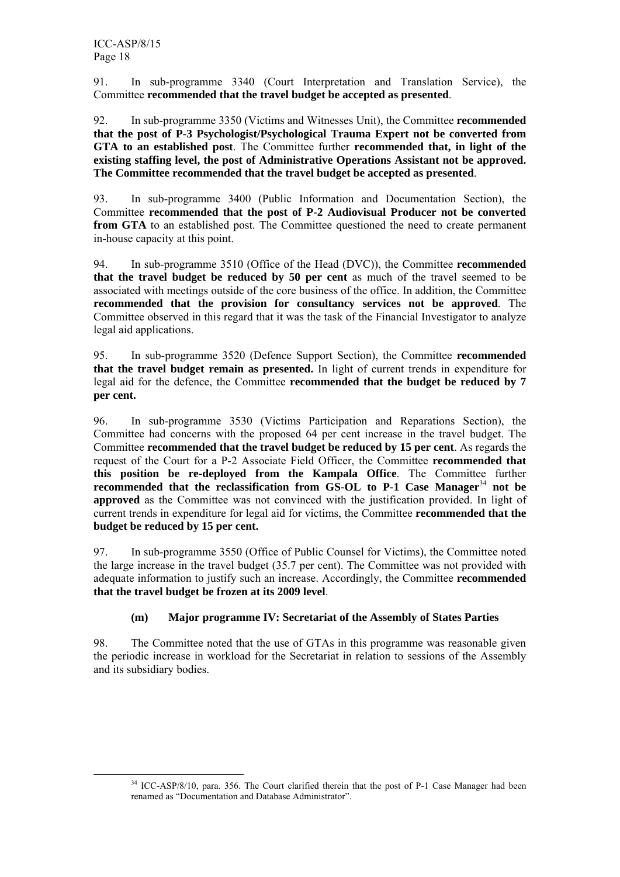91. In sub-programme 3340 (Court Interpretation and Translation Service), the Committee **recommended that the travel budget be accepted as presented**.

92. In sub-programme 3350 (Victims and Witnesses Unit), the Committee **recommended that the post of P-3 Psychologist/Psychological Trauma Expert not be converted from GTA to an established post**. The Committee further **recommended that, in light of the existing staffing level, the post of Administrative Operations Assistant not be approved. The Committee recommended that the travel budget be accepted as presented**.

93. In sub-programme 3400 (Public Information and Documentation Section), the Committee **recommended that the post of P-2 Audiovisual Producer not be converted from GTA** to an established post. The Committee questioned the need to create permanent in-house capacity at this point.

94. In sub-programme 3510 (Office of the Head (DVC)), the Committee **recommended that the travel budget be reduced by 50 per cent** as much of the travel seemed to be associated with meetings outside of the core business of the office. In addition, the Committee **recommended that the provision for consultancy services not be approved**. The Committee observed in this regard that it was the task of the Financial Investigator to analyze legal aid applications.

95. In sub-programme 3520 (Defence Support Section), the Committee **recommended that the travel budget remain as presented.** In light of current trends in expenditure for legal aid for the defence, the Committee **recommended that the budget be reduced by 7 per cent.** 

96. In sub-programme 3530 (Victims Participation and Reparations Section), the Committee had concerns with the proposed 64 per cent increase in the travel budget. The Committee **recommended that the travel budget be reduced by 15 per cent**. As regards the request of the Court for a P-2 Associate Field Officer, the Committee **recommended that this position be re-deployed from the Kampala Office**. The Committee further **recommended that the reclassification from GS-OL to P-1 Case Manager**<sup>34</sup> **not be approved** as the Committee was not convinced with the justification provided. In light of current trends in expenditure for legal aid for victims, the Committee **recommended that the budget be reduced by 15 per cent.** 

97. In sub-programme 3550 (Office of Public Counsel for Victims), the Committee noted the large increase in the travel budget (35.7 per cent). The Committee was not provided with adequate information to justify such an increase. Accordingly, the Committee **recommended that the travel budget be frozen at its 2009 level**.

## **(m) Major programme IV: Secretariat of the Assembly of States Parties**

98. The Committee noted that the use of GTAs in this programme was reasonable given the periodic increase in workload for the Secretariat in relation to sessions of the Assembly and its subsidiary bodies.

<sup>&</sup>lt;sup>34</sup> ICC-ASP/8/10, para. 356. The Court clarified therein that the post of P-1 Case Manager had been renamed as "Documentation and Database Administrator".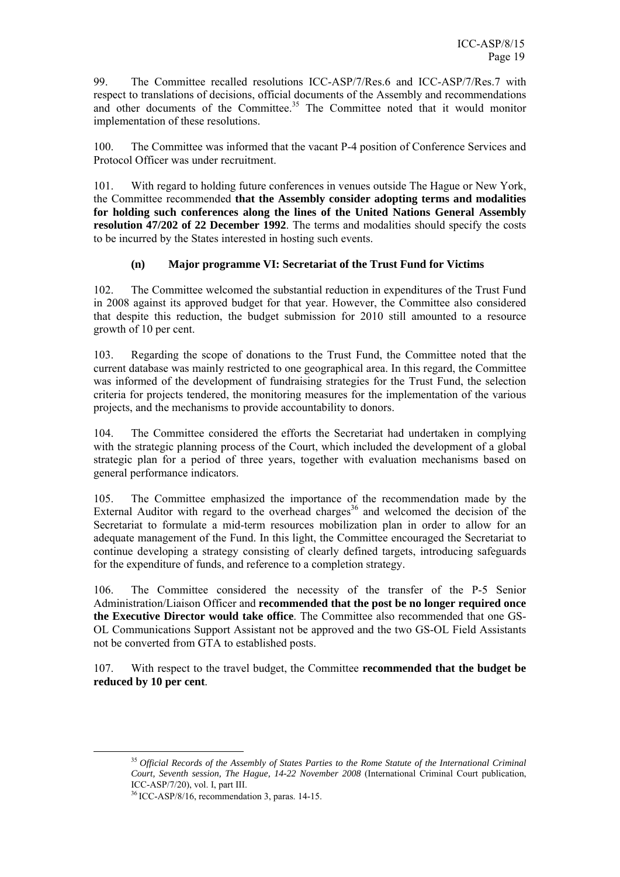99. The Committee recalled resolutions ICC-ASP/7/Res.6 and ICC-ASP/7/Res.7 with respect to translations of decisions, official documents of the Assembly and recommendations and other documents of the Committee.<sup>35</sup> The Committee noted that it would monitor implementation of these resolutions.

100. The Committee was informed that the vacant P-4 position of Conference Services and Protocol Officer was under recruitment.

101. With regard to holding future conferences in venues outside The Hague or New York, the Committee recommended **that the Assembly consider adopting terms and modalities for holding such conferences along the lines of the United Nations General Assembly resolution 47/202 of 22 December 1992**. The terms and modalities should specify the costs to be incurred by the States interested in hosting such events.

## **(n) Major programme VI: Secretariat of the Trust Fund for Victims**

102. The Committee welcomed the substantial reduction in expenditures of the Trust Fund in 2008 against its approved budget for that year. However, the Committee also considered that despite this reduction, the budget submission for 2010 still amounted to a resource growth of 10 per cent.

103. Regarding the scope of donations to the Trust Fund, the Committee noted that the current database was mainly restricted to one geographical area. In this regard, the Committee was informed of the development of fundraising strategies for the Trust Fund, the selection criteria for projects tendered, the monitoring measures for the implementation of the various projects, and the mechanisms to provide accountability to donors.

104. The Committee considered the efforts the Secretariat had undertaken in complying with the strategic planning process of the Court, which included the development of a global strategic plan for a period of three years, together with evaluation mechanisms based on general performance indicators.

105. The Committee emphasized the importance of the recommendation made by the External Auditor with regard to the overhead charges<sup>36</sup> and welcomed the decision of the Secretariat to formulate a mid-term resources mobilization plan in order to allow for an adequate management of the Fund. In this light, the Committee encouraged the Secretariat to continue developing a strategy consisting of clearly defined targets, introducing safeguards for the expenditure of funds, and reference to a completion strategy.

106. The Committee considered the necessity of the transfer of the P-5 Senior Administration/Liaison Officer and **recommended that the post be no longer required once the Executive Director would take office**. The Committee also recommended that one GS-OL Communications Support Assistant not be approved and the two GS-OL Field Assistants not be converted from GTA to established posts.

107. With respect to the travel budget, the Committee **recommended that the budget be reduced by 10 per cent**.

 <sup>35</sup> *Official Records of the Assembly of States Parties to the Rome Statute of the International Criminal Court, Seventh session, The Hague, 14-22 November 2008* (International Criminal Court publication, ICC-ASP/7/20), vol. I, part III.

<sup>36</sup> ICC-ASP/8/16, recommendation 3, paras. 14-15.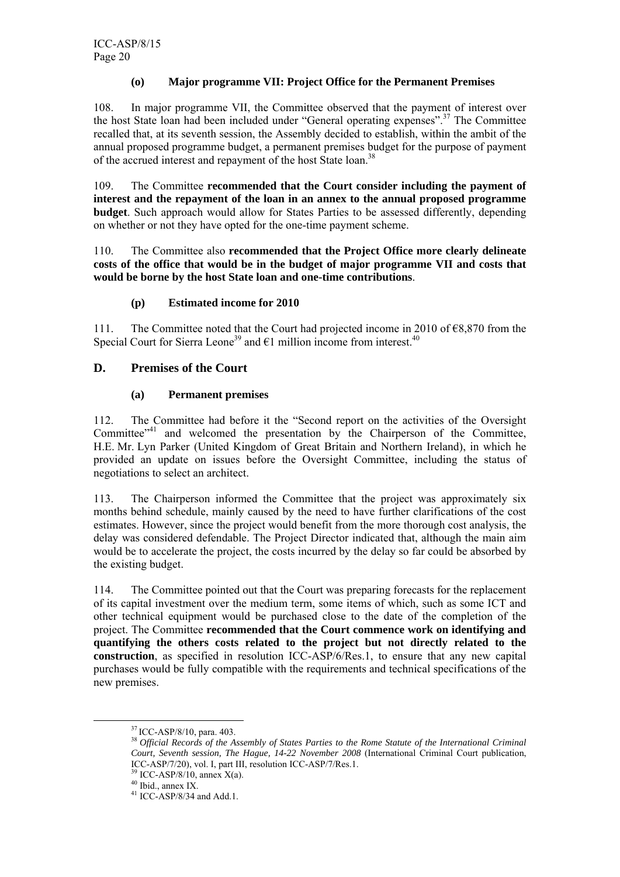#### **(o) Major programme VII: Project Office for the Permanent Premises**

108. In major programme VII, the Committee observed that the payment of interest over the host State loan had been included under "General operating expenses".<sup>37</sup> The Committee recalled that, at its seventh session, the Assembly decided to establish, within the ambit of the annual proposed programme budget, a permanent premises budget for the purpose of payment of the accrued interest and repayment of the host State loan.<sup>38</sup>

109. The Committee **recommended that the Court consider including the payment of interest and the repayment of the loan in an annex to the annual proposed programme budget**. Such approach would allow for States Parties to be assessed differently, depending on whether or not they have opted for the one-time payment scheme.

110. The Committee also **recommended that the Project Office more clearly delineate costs of the office that would be in the budget of major programme VII and costs that would be borne by the host State loan and one-time contributions**.

#### **(p) Estimated income for 2010**

111. The Committee noted that the Court had projected income in 2010 of €8,870 from the Special Court for Sierra Leone<sup>39</sup> and  $\epsilon$ 1 million income from interest.<sup>40</sup>

#### **D. Premises of the Court**

#### **(a) Permanent premises**

112. The Committee had before it the "Second report on the activities of the Oversight Committee"<sup>41</sup> and welcomed the presentation by the Chairperson of the Committee, H.E. Mr. Lyn Parker (United Kingdom of Great Britain and Northern Ireland), in which he provided an update on issues before the Oversight Committee, including the status of negotiations to select an architect.

113. The Chairperson informed the Committee that the project was approximately six months behind schedule, mainly caused by the need to have further clarifications of the cost estimates. However, since the project would benefit from the more thorough cost analysis, the delay was considered defendable. The Project Director indicated that, although the main aim would be to accelerate the project, the costs incurred by the delay so far could be absorbed by the existing budget.

114. The Committee pointed out that the Court was preparing forecasts for the replacement of its capital investment over the medium term, some items of which, such as some ICT and other technical equipment would be purchased close to the date of the completion of the project. The Committee **recommended that the Court commence work on identifying and quantifying the others costs related to the project but not directly related to the construction**, as specified in resolution ICC-ASP/6/Res.1, to ensure that any new capital purchases would be fully compatible with the requirements and technical specifications of the new premises.

<sup>&</sup>lt;sup>37</sup> ICC-ASP/8/10, para. 403.<br><sup>38</sup> Official Records of the Assembly of States Parties to the Rome Statute of the International Criminal *Court, Seventh session, The Hague, 14-22 November 2008* (International Criminal Court publication, ICC-ASP/7/20), vol. I, part III, resolution ICC-ASP/7/Res.1.

 $39$  ICC-ASP/8/10, annex X(a).

<sup>40</sup> Ibid., annex IX.

<sup>41</sup> ICC-ASP/8/34 and Add.1.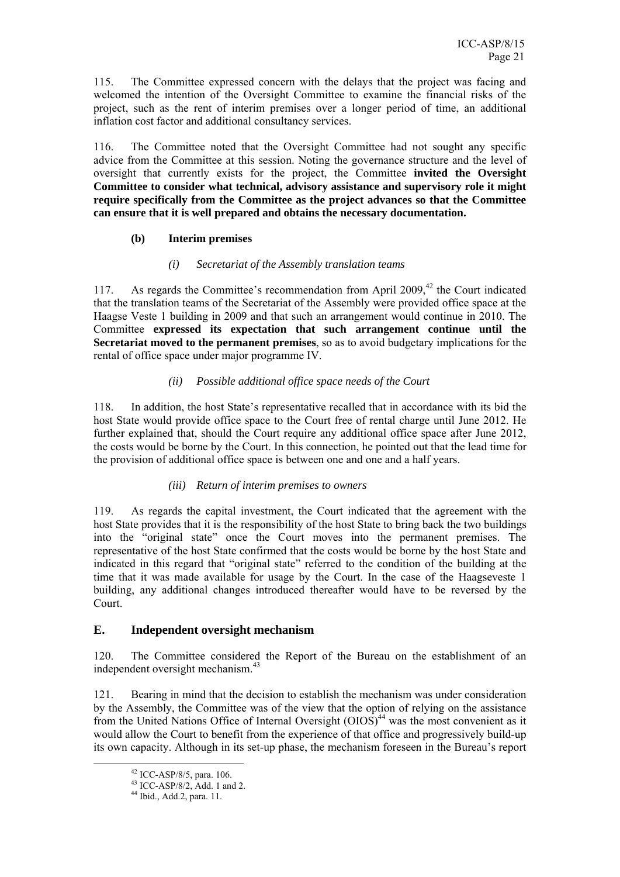115. The Committee expressed concern with the delays that the project was facing and welcomed the intention of the Oversight Committee to examine the financial risks of the project, such as the rent of interim premises over a longer period of time, an additional inflation cost factor and additional consultancy services.

116. The Committee noted that the Oversight Committee had not sought any specific advice from the Committee at this session. Noting the governance structure and the level of oversight that currently exists for the project, the Committee **invited the Oversight Committee to consider what technical, advisory assistance and supervisory role it might require specifically from the Committee as the project advances so that the Committee can ensure that it is well prepared and obtains the necessary documentation.** 

#### **(b) Interim premises**

#### *(i) Secretariat of the Assembly translation teams*

117. As regards the Committee's recommendation from April 2009,<sup>42</sup> the Court indicated that the translation teams of the Secretariat of the Assembly were provided office space at the Haagse Veste 1 building in 2009 and that such an arrangement would continue in 2010. The Committee **expressed its expectation that such arrangement continue until the Secretariat moved to the permanent premises**, so as to avoid budgetary implications for the rental of office space under major programme IV.

## *(ii) Possible additional office space needs of the Court*

118. In addition, the host State's representative recalled that in accordance with its bid the host State would provide office space to the Court free of rental charge until June 2012. He further explained that, should the Court require any additional office space after June 2012, the costs would be borne by the Court. In this connection, he pointed out that the lead time for the provision of additional office space is between one and one and a half years.

## *(iii) Return of interim premises to owners*

119. As regards the capital investment, the Court indicated that the agreement with the host State provides that it is the responsibility of the host State to bring back the two buildings into the "original state" once the Court moves into the permanent premises. The representative of the host State confirmed that the costs would be borne by the host State and indicated in this regard that "original state" referred to the condition of the building at the time that it was made available for usage by the Court. In the case of the Haagseveste 1 building, any additional changes introduced thereafter would have to be reversed by the Court.

## **E. Independent oversight mechanism**

120. The Committee considered the Report of the Bureau on the establishment of an independent oversight mechanism.<sup>43</sup>

121. Bearing in mind that the decision to establish the mechanism was under consideration by the Assembly, the Committee was of the view that the option of relying on the assistance from the United Nations Office of Internal Oversight  $(OIOS)^{44}$  was the most convenient as it would allow the Court to benefit from the experience of that office and progressively build-up its own capacity. Although in its set-up phase, the mechanism foreseen in the Bureau's report

 <sup>42</sup> ICC-ASP/8/5, para. 106.

<sup>43</sup> ICC-ASP/8/2, Add. 1 and 2.

<sup>44</sup> Ibid., Add.2, para. 11.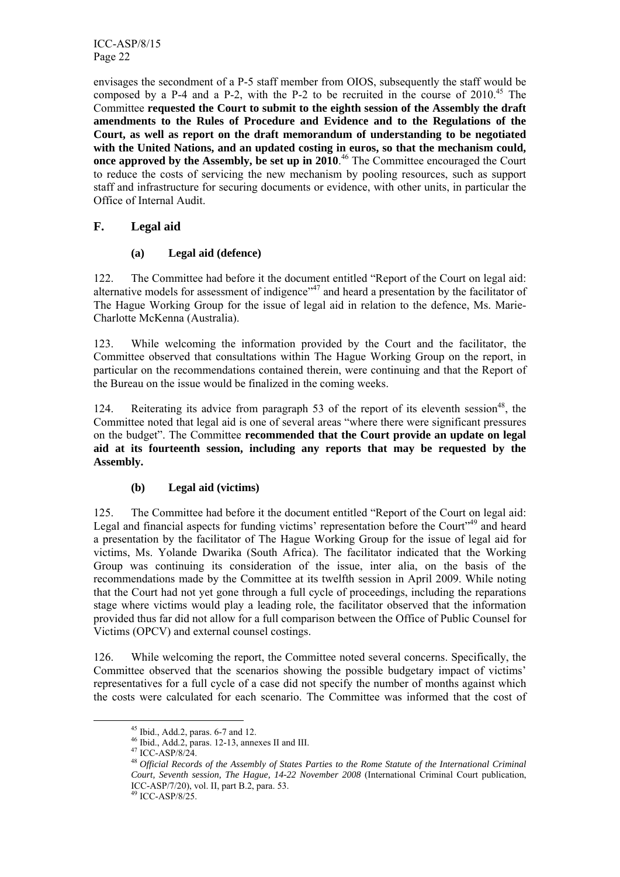ICC-ASP/8/15 Page 22

envisages the secondment of a P-5 staff member from OIOS, subsequently the staff would be composed by a P-4 and a P-2, with the P-2 to be recruited in the course of  $2010^{45}$  The Committee **requested the Court to submit to the eighth session of the Assembly the draft amendments to the Rules of Procedure and Evidence and to the Regulations of the Court, as well as report on the draft memorandum of understanding to be negotiated with the United Nations, and an updated costing in euros, so that the mechanism could, once approved by the Assembly, be set up in 2010**. 46 The Committee encouraged the Court to reduce the costs of servicing the new mechanism by pooling resources, such as support staff and infrastructure for securing documents or evidence, with other units, in particular the Office of Internal Audit.

## **F. Legal aid**

## **(a) Legal aid (defence)**

122. The Committee had before it the document entitled "Report of the Court on legal aid: alternative models for assessment of indigence"<sup>47</sup> and heard a presentation by the facilitator of The Hague Working Group for the issue of legal aid in relation to the defence, Ms. Marie-Charlotte McKenna (Australia).

123. While welcoming the information provided by the Court and the facilitator, the Committee observed that consultations within The Hague Working Group on the report, in particular on the recommendations contained therein, were continuing and that the Report of the Bureau on the issue would be finalized in the coming weeks.

124. Reiterating its advice from paragraph 53 of the report of its eleventh session<sup>48</sup>, the Committee noted that legal aid is one of several areas "where there were significant pressures on the budget". The Committee **recommended that the Court provide an update on legal aid at its fourteenth session, including any reports that may be requested by the Assembly.**

## **(b) Legal aid (victims)**

125. The Committee had before it the document entitled "Report of the Court on legal aid: Legal and financial aspects for funding victims' representation before the Court<sup>149</sup> and heard a presentation by the facilitator of The Hague Working Group for the issue of legal aid for victims, Ms. Yolande Dwarika (South Africa). The facilitator indicated that the Working Group was continuing its consideration of the issue, inter alia, on the basis of the recommendations made by the Committee at its twelfth session in April 2009. While noting that the Court had not yet gone through a full cycle of proceedings, including the reparations stage where victims would play a leading role, the facilitator observed that the information provided thus far did not allow for a full comparison between the Office of Public Counsel for Victims (OPCV) and external counsel costings.

126. While welcoming the report, the Committee noted several concerns. Specifically, the Committee observed that the scenarios showing the possible budgetary impact of victims' representatives for a full cycle of a case did not specify the number of months against which the costs were calculated for each scenario. The Committee was informed that the cost of

 <sup>45</sup> Ibid., Add.2, paras. 6-7 and 12.

<sup>46</sup> Ibid., Add.2, paras. 12-13, annexes II and III.

<sup>47</sup> ICC-ASP/8/24.

<sup>48</sup>*Official Records of the Assembly of States Parties to the Rome Statute of the International Criminal Court, Seventh session, The Hague, 14-22 November 2008* (International Criminal Court publication, ICC-ASP/7/20), vol. II, part B.2, para. 53.

<sup>49</sup> ICC-ASP/8/25.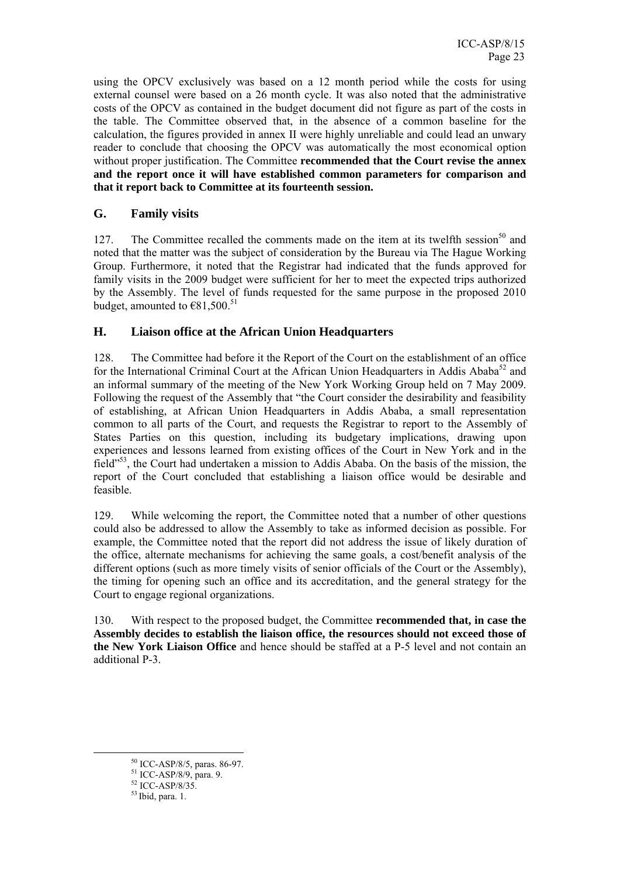using the OPCV exclusively was based on a 12 month period while the costs for using external counsel were based on a 26 month cycle. It was also noted that the administrative costs of the OPCV as contained in the budget document did not figure as part of the costs in the table. The Committee observed that, in the absence of a common baseline for the calculation, the figures provided in annex II were highly unreliable and could lead an unwary reader to conclude that choosing the OPCV was automatically the most economical option without proper justification. The Committee **recommended that the Court revise the annex and the report once it will have established common parameters for comparison and that it report back to Committee at its fourteenth session.**

## **G. Family visits**

127. The Committee recalled the comments made on the item at its twelfth session<sup>50</sup> and noted that the matter was the subject of consideration by the Bureau via The Hague Working Group. Furthermore, it noted that the Registrar had indicated that the funds approved for family visits in the 2009 budget were sufficient for her to meet the expected trips authorized by the Assembly. The level of funds requested for the same purpose in the proposed 2010 budget, amounted to  $€81,500.^{51}$ 

## **H. Liaison office at the African Union Headquarters**

128. The Committee had before it the Report of the Court on the establishment of an office for the International Criminal Court at the African Union Headquarters in Addis Ababa $52$  and an informal summary of the meeting of the New York Working Group held on 7 May 2009. Following the request of the Assembly that "the Court consider the desirability and feasibility of establishing, at African Union Headquarters in Addis Ababa, a small representation common to all parts of the Court, and requests the Registrar to report to the Assembly of States Parties on this question, including its budgetary implications, drawing upon experiences and lessons learned from existing offices of the Court in New York and in the field"53, the Court had undertaken a mission to Addis Ababa. On the basis of the mission, the report of the Court concluded that establishing a liaison office would be desirable and feasible.

129. While welcoming the report, the Committee noted that a number of other questions could also be addressed to allow the Assembly to take as informed decision as possible. For example, the Committee noted that the report did not address the issue of likely duration of the office, alternate mechanisms for achieving the same goals, a cost/benefit analysis of the different options (such as more timely visits of senior officials of the Court or the Assembly), the timing for opening such an office and its accreditation, and the general strategy for the Court to engage regional organizations.

130. With respect to the proposed budget, the Committee **recommended that, in case the Assembly decides to establish the liaison office, the resources should not exceed those of the New York Liaison Office** and hence should be staffed at a P-5 level and not contain an additional P-3.

 <sup>50</sup> ICC-ASP/8/5, paras. 86-97.

<sup>51</sup> ICC-ASP/8/9, para. 9.

<sup>&</sup>lt;sup>52</sup> ICC-ASP/8/35.

 $53$  Ibid, para. 1.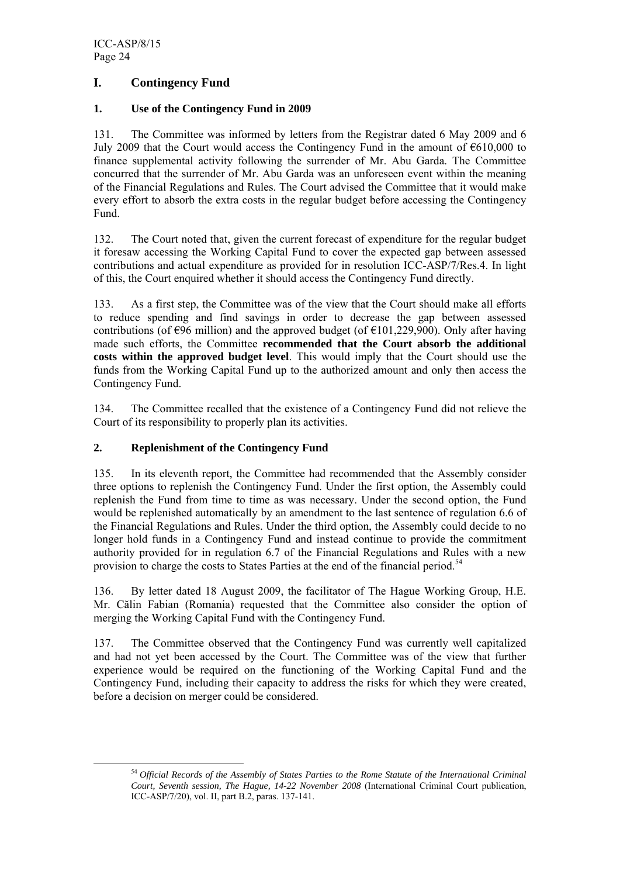## **I. Contingency Fund**

## **1. Use of the Contingency Fund in 2009**

131. The Committee was informed by letters from the Registrar dated 6 May 2009 and 6 July 2009 that the Court would access the Contingency Fund in the amount of  $\epsilon$ 610,000 to finance supplemental activity following the surrender of Mr. Abu Garda. The Committee concurred that the surrender of Mr. Abu Garda was an unforeseen event within the meaning of the Financial Regulations and Rules. The Court advised the Committee that it would make every effort to absorb the extra costs in the regular budget before accessing the Contingency Fund.

132. The Court noted that, given the current forecast of expenditure for the regular budget it foresaw accessing the Working Capital Fund to cover the expected gap between assessed contributions and actual expenditure as provided for in resolution ICC-ASP/7/Res.4. In light of this, the Court enquired whether it should access the Contingency Fund directly.

133. As a first step, the Committee was of the view that the Court should make all efforts to reduce spending and find savings in order to decrease the gap between assessed contributions (of  $\epsilon$ 96 million) and the approved budget (of  $\epsilon$ 101,229,900). Only after having made such efforts, the Committee **recommended that the Court absorb the additional costs within the approved budget level**. This would imply that the Court should use the funds from the Working Capital Fund up to the authorized amount and only then access the Contingency Fund.

134. The Committee recalled that the existence of a Contingency Fund did not relieve the Court of its responsibility to properly plan its activities.

## **2. Replenishment of the Contingency Fund**

135. In its eleventh report, the Committee had recommended that the Assembly consider three options to replenish the Contingency Fund. Under the first option, the Assembly could replenish the Fund from time to time as was necessary. Under the second option, the Fund would be replenished automatically by an amendment to the last sentence of regulation 6.6 of the Financial Regulations and Rules. Under the third option, the Assembly could decide to no longer hold funds in a Contingency Fund and instead continue to provide the commitment authority provided for in regulation 6.7 of the Financial Regulations and Rules with a new provision to charge the costs to States Parties at the end of the financial period.<sup>54</sup>

136. By letter dated 18 August 2009, the facilitator of The Hague Working Group, H.E. Mr. Călin Fabian (Romania) requested that the Committee also consider the option of merging the Working Capital Fund with the Contingency Fund.

137. The Committee observed that the Contingency Fund was currently well capitalized and had not yet been accessed by the Court. The Committee was of the view that further experience would be required on the functioning of the Working Capital Fund and the Contingency Fund, including their capacity to address the risks for which they were created, before a decision on merger could be considered.

 <sup>54</sup> *Official Records of the Assembly of States Parties to the Rome Statute of the International Criminal Court, Seventh session, The Hague, 14-22 November 2008* (International Criminal Court publication, ICC-ASP/7/20), vol. II, part B.2, paras. 137-141.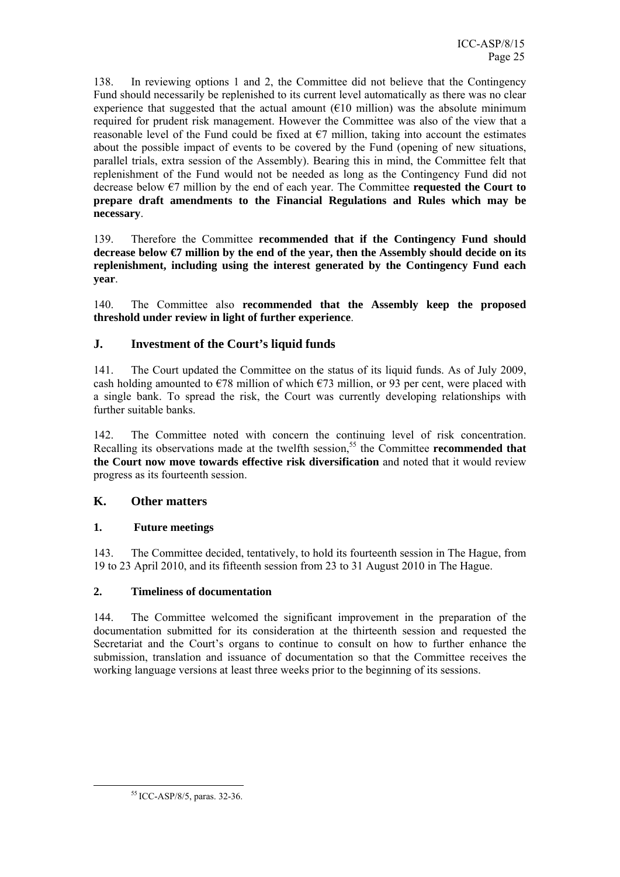138. In reviewing options 1 and 2, the Committee did not believe that the Contingency Fund should necessarily be replenished to its current level automatically as there was no clear experience that suggested that the actual amount  $(E10 \text{ million})$  was the absolute minimum required for prudent risk management. However the Committee was also of the view that a reasonable level of the Fund could be fixed at  $\epsilon$ 7 million, taking into account the estimates about the possible impact of events to be covered by the Fund (opening of new situations, parallel trials, extra session of the Assembly). Bearing this in mind, the Committee felt that replenishment of the Fund would not be needed as long as the Contingency Fund did not decrease below €7 million by the end of each year. The Committee **requested the Court to prepare draft amendments to the Financial Regulations and Rules which may be necessary**.

139. Therefore the Committee **recommended that if the Contingency Fund should decrease below €7 million by the end of the year, then the Assembly should decide on its replenishment, including using the interest generated by the Contingency Fund each year**.

140. The Committee also **recommended that the Assembly keep the proposed threshold under review in light of further experience**.

## **J. Investment of the Court's liquid funds**

141. The Court updated the Committee on the status of its liquid funds. As of July 2009, cash holding amounted to  $\epsilon$ 78 million of which  $\epsilon$ 73 million, or 93 per cent, were placed with a single bank. To spread the risk, the Court was currently developing relationships with further suitable banks.

142. The Committee noted with concern the continuing level of risk concentration. Recalling its observations made at the twelfth session,<sup>55</sup> the Committee **recommended that the Court now move towards effective risk diversification** and noted that it would review progress as its fourteenth session.

## **K. Other matters**

## **1. Future meetings**

143. The Committee decided, tentatively, to hold its fourteenth session in The Hague, from 19 to 23 April 2010, and its fifteenth session from 23 to 31 August 2010 in The Hague.

## **2. Timeliness of documentation**

144. The Committee welcomed the significant improvement in the preparation of the documentation submitted for its consideration at the thirteenth session and requested the Secretariat and the Court's organs to continue to consult on how to further enhance the submission, translation and issuance of documentation so that the Committee receives the working language versions at least three weeks prior to the beginning of its sessions.

 <sup>55</sup> ICC-ASP/8/5, paras. 32-36.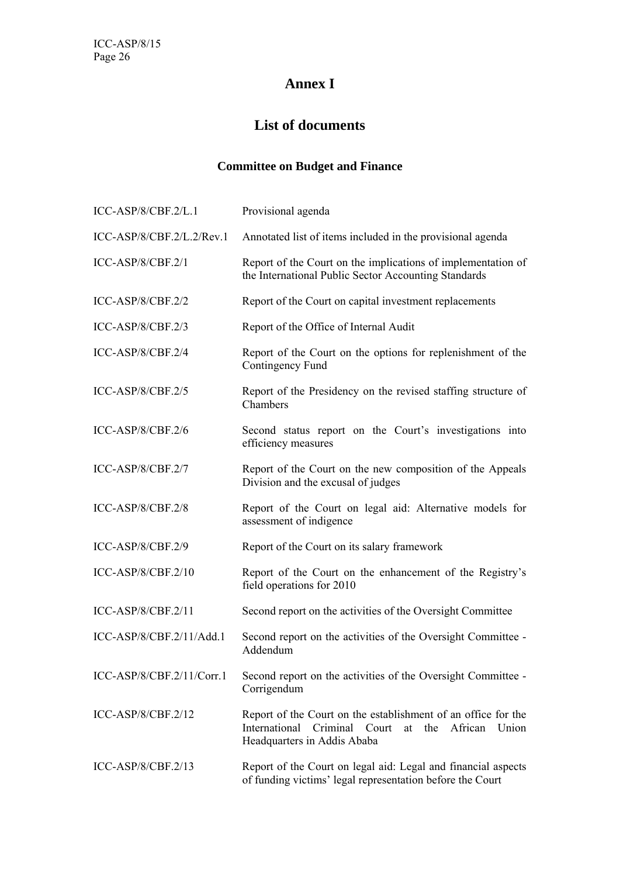## **Annex I**

## **List of documents**

## **Committee on Budget and Finance**

| ICC-ASP/8/CBF.2/L.1       | Provisional agenda                                                                                                                                               |
|---------------------------|------------------------------------------------------------------------------------------------------------------------------------------------------------------|
| ICC-ASP/8/CBF.2/L.2/Rev.1 | Annotated list of items included in the provisional agenda                                                                                                       |
| ICC-ASP/8/CBF.2/1         | Report of the Court on the implications of implementation of<br>the International Public Sector Accounting Standards                                             |
| $ICC-ASP/8/CBF.2/2$       | Report of the Court on capital investment replacements                                                                                                           |
| $ICC-ASP/8/CBF.2/3$       | Report of the Office of Internal Audit                                                                                                                           |
| ICC-ASP/8/CBF.2/4         | Report of the Court on the options for replenishment of the<br>Contingency Fund                                                                                  |
| ICC-ASP/8/CBF.2/5         | Report of the Presidency on the revised staffing structure of<br>Chambers                                                                                        |
| ICC-ASP/8/CBF.2/6         | Second status report on the Court's investigations into<br>efficiency measures                                                                                   |
| ICC-ASP/8/CBF.2/7         | Report of the Court on the new composition of the Appeals<br>Division and the excusal of judges                                                                  |
| ICC-ASP/8/CBF.2/8         | Report of the Court on legal aid: Alternative models for<br>assessment of indigence                                                                              |
| $ICC-ASP/8/CBF.2/9$       | Report of the Court on its salary framework                                                                                                                      |
| ICC-ASP/8/CBF.2/10        | Report of the Court on the enhancement of the Registry's<br>field operations for 2010                                                                            |
| $ICC-ASP/8/CBF.2/11$      | Second report on the activities of the Oversight Committee                                                                                                       |
| ICC-ASP/8/CBF.2/11/Add.1  | Second report on the activities of the Oversight Committee -<br>Addendum                                                                                         |
| ICC-ASP/8/CBF.2/11/Corr.1 | Second report on the activities of the Oversight Committee -<br>Corrigendum                                                                                      |
| ICC-ASP/8/CBF.2/12        | Report of the Court on the establishment of an office for the<br>Criminal Court<br>International<br>at<br>the<br>African<br>Union<br>Headquarters in Addis Ababa |
| $ICC-ASP/8/CBF.2/13$      | Report of the Court on legal aid: Legal and financial aspects<br>of funding victims' legal representation before the Court                                       |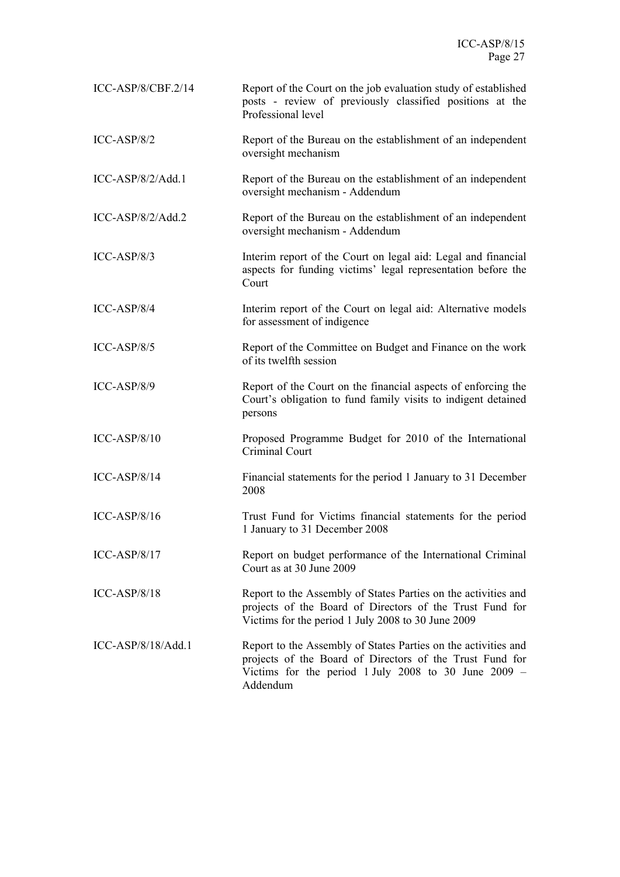| $ICC-ASP/8/CBF.2/14$ | Report of the Court on the job evaluation study of established<br>posts - review of previously classified positions at the<br>Professional level                                                 |
|----------------------|--------------------------------------------------------------------------------------------------------------------------------------------------------------------------------------------------|
| $ICC-ASP/8/2$        | Report of the Bureau on the establishment of an independent<br>oversight mechanism                                                                                                               |
| $ICC-ASP/8/2/Add.1$  | Report of the Bureau on the establishment of an independent<br>oversight mechanism - Addendum                                                                                                    |
| $ICC-ASP/8/2/Add.2$  | Report of the Bureau on the establishment of an independent<br>oversight mechanism - Addendum                                                                                                    |
| $ICC-ASP/8/3$        | Interim report of the Court on legal aid: Legal and financial<br>aspects for funding victims' legal representation before the<br>Court                                                           |
| $ICC-ASP/8/4$        | Interim report of the Court on legal aid: Alternative models<br>for assessment of indigence                                                                                                      |
| $ICC-ASP/8/5$        | Report of the Committee on Budget and Finance on the work<br>of its twelfth session                                                                                                              |
| $ICC-ASP/8/9$        | Report of the Court on the financial aspects of enforcing the<br>Court's obligation to fund family visits to indigent detained<br>persons                                                        |
| $ICC-ASP/8/10$       | Proposed Programme Budget for 2010 of the International<br>Criminal Court                                                                                                                        |
| $ICC-ASP/8/14$       | Financial statements for the period 1 January to 31 December<br>2008                                                                                                                             |
| $ICC-ASP/8/16$       | Trust Fund for Victims financial statements for the period<br>1 January to 31 December 2008                                                                                                      |
| $ICC-ASP/8/17$       | Report on budget performance of the International Criminal<br>Court as at 30 June 2009                                                                                                           |
| $ICC-ASP/8/18$       | Report to the Assembly of States Parties on the activities and<br>projects of the Board of Directors of the Trust Fund for<br>Victims for the period 1 July 2008 to 30 June 2009                 |
| $ICC-ASP/8/18/Add.1$ | Report to the Assembly of States Parties on the activities and<br>projects of the Board of Directors of the Trust Fund for<br>Victims for the period 1 July 2008 to 30 June $2009 -$<br>Addendum |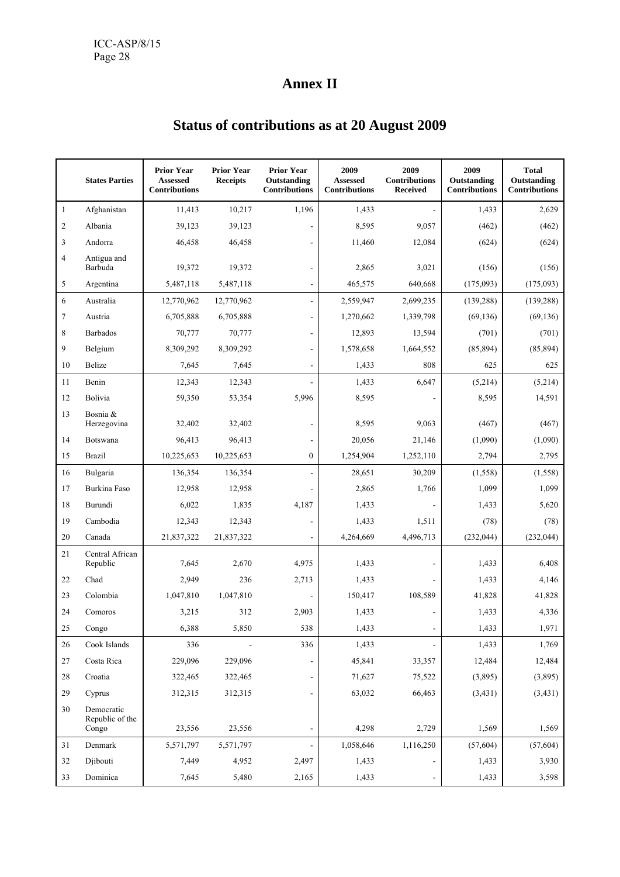## **Annex II**

## **Prior Year Prior Year Prior Year 1 2009 2009 2009 1 2009** States Parties | Assessed Receipts Outstanding | Assessed Contributions | Outstanding | Outstanding  **Contributions Contributions Contributions Received Contributions Contributions**  1 Afghanistan | 11,413 10,217 1,196 1,433 - 1,433 2,629 2 Albania | 39,123 39,123 - 8,595 9,057 (462) (462) 3 Andorra 46,458 46,458 - 11,460 12,084 (624) (624) 4 Antigua and Barbuda | 19,372 19,372 - 2,865 3,021 (156) (156) 5 Argentina 5,487,118 5,487,118 - 465,575 640,668 (175,093) (175,093) 6 Australia 12,770,962 12,770,962 - 2,559,947 2,699,235 (139,288) (139,288) 7 Austria | 6,705,888 6,705,888 - 1,270,662 1,339,798 (69,136) (69,136) 8 Barbados | 70,777 70,777 - 12,893 13,594 (701) (701) 9 Belgium | 8,309,292 8,309,292 - | 1,578,658 1,664,552 | (85,894) (85,894) 10 Belize 1 7,645 7,645 - 1,433 808 625 625 11 Benin | 12,343 12,343 - 1,433 6,647 (5,214) (5,214) 12 Bolivia | 59,350 53,354 5,996 8,595 - 8,595 14,591 13 Bosnia & Herzegovina | 32,402 32,402 - 8,595 9,063 (467) (467) 14 Botswana | 96,413 96,413 - 20,056 21,146 (1,090) (1,090) 15 Brazil 10,225,653 10,225,653 0 1,254,904 1,252,110 2,794 2,795 16 Bulgaria | 136,354 136,354 - 28,651 30,209 (1,558) (1,558) 17 Burkina Faso | 12,958 12,958 - 2,865 1,766 1,099 1,099 1,099 18 Burundi | 6,022 1,835 4,187 1,433 - 1,433 5,620 19 Cambodia | 12,343 12,343 - 1,433 1,511 (78) (78) 20 Canada | 21,837,322 21,837,322 - | 4,264,669 4,496,713 (232,044) (232,044) 21 Central African<br>Republic Republic | 7,645 2,670 4,975 1,433 - 1,433 6,408 22 Chad 1 2,949 236 2,713 1,433 - 1,433 4,146 23 Colombia 1,047,810 1,047,810 - 150,417 108,589 41,828 41,828 24 Comoros | 3,215 312 2,903 1,433 - 1,433 4,336 25 Congo ( 6,388 5,850 538 1,433 - 1,433 1,971 26 Cook Islands 1,769 - 336 - 336 1,433 - 1,433 1,769 27 Costa Rica 229,096 229,096 - 45,841 33,357 12,484 12,484 28 Croatia 322,465 322,465 - 71,627 75,522 (3,895) (3,895) 29 Cyprus 312,315 312,315 - 63,032 66,463 (3,431) (3,431) 30 Democratic Republic of the Congo 23,556 23,556 - 4,298 2,729 1,569 1,569

31 Denmark | 5,571,797 5,571,797 - 1,058,646 1,116,250 (57,604) (57,604) 32 Djibouti **1** 7,449 4,952 2,497 1,433 - 1,433 3,930 33 Dominica | 7,645 5,480 2,165 1,433 - 1,433 3,598

## **Status of contributions as at 20 August 2009**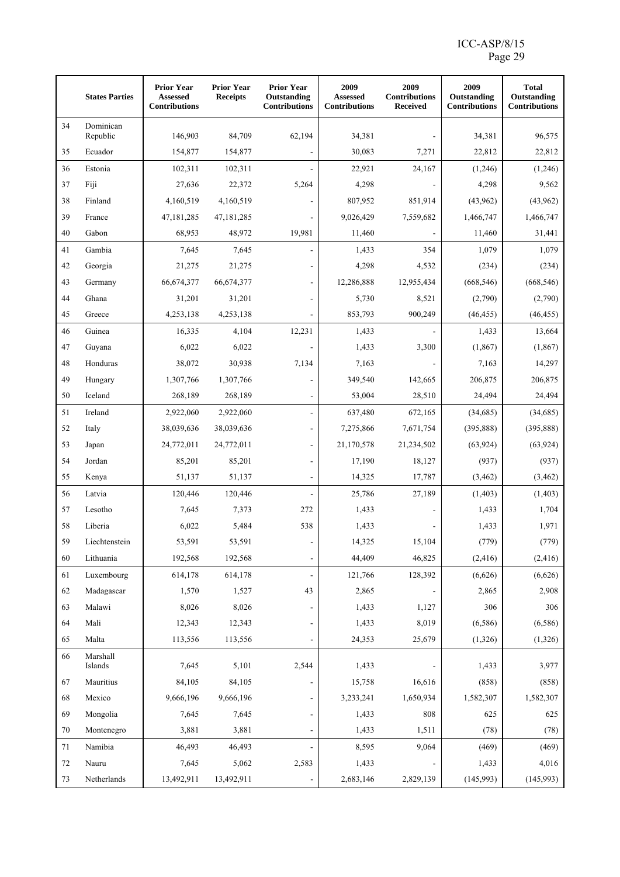## ICC-ASP/8/15 Page 29

|        | <b>States Parties</b> | <b>Prior Year</b><br>Assessed<br><b>Contributions</b> | <b>Prior Year</b><br><b>Receipts</b> | <b>Prior Year</b><br>Outstanding<br><b>Contributions</b> | 2009<br>Assessed<br><b>Contributions</b> | 2009<br><b>Contributions</b><br><b>Received</b> | 2009<br>Outstanding<br><b>Contributions</b> | <b>Total</b><br>Outstanding<br><b>Contributions</b> |
|--------|-----------------------|-------------------------------------------------------|--------------------------------------|----------------------------------------------------------|------------------------------------------|-------------------------------------------------|---------------------------------------------|-----------------------------------------------------|
| 34     | Dominican<br>Republic | 146,903                                               | 84,709                               | 62,194                                                   | 34,381                                   |                                                 | 34,381                                      | 96,575                                              |
| 35     | Ecuador               | 154,877                                               | 154,877                              |                                                          | 30,083                                   | 7,271                                           | 22,812                                      | 22,812                                              |
| 36     | Estonia               | 102,311                                               | 102,311                              |                                                          | 22,921                                   | 24,167                                          | (1,246)                                     | (1,246)                                             |
| 37     | Fiji                  | 27,636                                                | 22,372                               | 5,264                                                    | 4,298                                    |                                                 | 4,298                                       | 9,562                                               |
| 38     | Finland               | 4,160,519                                             | 4,160,519                            |                                                          | 807,952                                  | 851,914                                         | (43,962)                                    | (43,962)                                            |
| 39     | France                | 47,181,285                                            | 47, 181, 285                         |                                                          | 9,026,429                                | 7,559,682                                       | 1,466,747                                   | 1,466,747                                           |
| 40     | Gabon                 | 68,953                                                | 48,972                               | 19,981                                                   | 11,460                                   |                                                 | 11,460                                      | 31,441                                              |
| 41     | Gambia                | 7,645                                                 | 7,645                                |                                                          | 1,433                                    | 354                                             | 1,079                                       | 1,079                                               |
| 42     | Georgia               | 21,275                                                | 21,275                               |                                                          | 4,298                                    | 4,532                                           | (234)                                       | (234)                                               |
| 43     | Germany               | 66,674,377                                            | 66,674,377                           |                                                          | 12,286,888                               | 12,955,434                                      | (668, 546)                                  | (668, 546)                                          |
| 44     | Ghana                 | 31,201                                                | 31,201                               |                                                          | 5,730                                    | 8,521                                           | (2,790)                                     | (2,790)                                             |
| 45     | Greece                | 4,253,138                                             | 4,253,138                            |                                                          | 853,793                                  | 900,249                                         | (46, 455)                                   | (46, 455)                                           |
| 46     | Guinea                | 16,335                                                | 4,104                                | 12,231                                                   | 1,433                                    |                                                 | 1,433                                       | 13,664                                              |
| 47     | Guyana                | 6,022                                                 | 6,022                                |                                                          | 1,433                                    | 3,300                                           | (1, 867)                                    | (1, 867)                                            |
| $48\,$ | Honduras              | 38,072                                                | 30,938                               | 7,134                                                    | 7,163                                    |                                                 | 7,163                                       | 14,297                                              |
| 49     | Hungary               | 1,307,766                                             | 1,307,766                            |                                                          | 349,540                                  | 142,665                                         | 206,875                                     | 206,875                                             |
| 50     | Iceland               | 268,189                                               | 268,189                              |                                                          | 53,004                                   | 28,510                                          | 24,494                                      | 24,494                                              |
| 51     | Ireland               | 2,922,060                                             | 2,922,060                            |                                                          | 637,480                                  | 672,165                                         | (34,685)                                    | (34,685)                                            |
| 52     | Italy                 | 38,039,636                                            | 38,039,636                           |                                                          | 7,275,866                                | 7,671,754                                       | (395, 888)                                  | (395, 888)                                          |
| 53     | Japan                 | 24,772,011                                            | 24,772,011                           | $\overline{a}$                                           | 21,170,578                               | 21,234,502                                      | (63, 924)                                   | (63, 924)                                           |
| 54     | Jordan                | 85,201                                                | 85,201                               |                                                          | 17,190                                   | 18,127                                          | (937)                                       | (937)                                               |
| 55     | Kenya                 | 51,137                                                | 51,137                               |                                                          | 14,325                                   | 17,787                                          | (3, 462)                                    | (3,462)                                             |
| 56     | Latvia                | 120,446                                               | 120,446                              |                                                          | 25,786                                   | 27,189                                          | (1, 403)                                    | (1, 403)                                            |
| 57     | Lesotho               | 7,645                                                 | 7,373                                | 272                                                      | 1,433                                    |                                                 | 1,433                                       | 1,704                                               |
| 58     | Liberia               | 6,022                                                 | 5,484                                | 538                                                      | 1,433                                    |                                                 | 1,433                                       | 1,971                                               |
| 59     | Liechtenstein         | 53,591                                                | 53,591                               |                                                          | 14,325                                   | 15,104                                          | (779)                                       | (779)                                               |
| 60     | Lithuania             | 192,568                                               | 192,568                              | $\blacksquare$                                           | 44,409                                   | 46,825                                          | (2, 416)                                    | (2, 416)                                            |
| 61     | Luxembourg            | 614,178                                               | 614,178                              |                                                          | 121,766                                  | 128,392                                         | (6,626)                                     | (6,626)                                             |
| 62     | Madagascar            | 1,570                                                 | 1,527                                | 43                                                       | 2,865                                    |                                                 | 2,865                                       | 2,908                                               |
| 63     | Malawi                | 8,026                                                 | 8,026                                |                                                          | 1,433                                    | 1,127                                           | 306                                         | 306                                                 |
| 64     | Mali                  | 12,343                                                | 12,343                               |                                                          | 1,433                                    | 8,019                                           | (6,586)                                     | (6, 586)                                            |
| 65     | Malta                 | 113,556                                               | 113,556                              |                                                          | 24,353                                   | 25,679                                          | (1,326)                                     | (1,326)                                             |
| 66     | Marshall<br>Islands   | 7,645                                                 | 5,101                                | 2,544                                                    | 1,433                                    |                                                 | 1,433                                       | 3,977                                               |
| 67     | Mauritius             | 84,105                                                | 84,105                               |                                                          | 15,758                                   | 16,616                                          | (858)                                       | (858)                                               |
| 68     | Mexico                | 9,666,196                                             | 9,666,196                            |                                                          | 3,233,241                                | 1,650,934                                       | 1,582,307                                   | 1,582,307                                           |
| 69     | Mongolia              | 7,645                                                 | 7,645                                |                                                          | 1,433                                    | 808                                             | 625                                         | 625                                                 |
| 70     | Montenegro            | 3,881                                                 | 3,881                                | $\qquad \qquad \blacksquare$                             | 1,433                                    | 1,511                                           | (78)                                        | (78)                                                |
| 71     | Namibia               | 46,493                                                | 46,493                               |                                                          | 8,595                                    | 9,064                                           | (469)                                       | (469)                                               |
| 72     | Nauru                 | 7,645                                                 | 5,062                                | 2,583                                                    | 1,433                                    |                                                 | 1,433                                       | 4,016                                               |
| 73     | Netherlands           | 13,492,911                                            | 13,492,911                           |                                                          | 2,683,146                                | 2,829,139                                       | (145, 993)                                  | (145,993)                                           |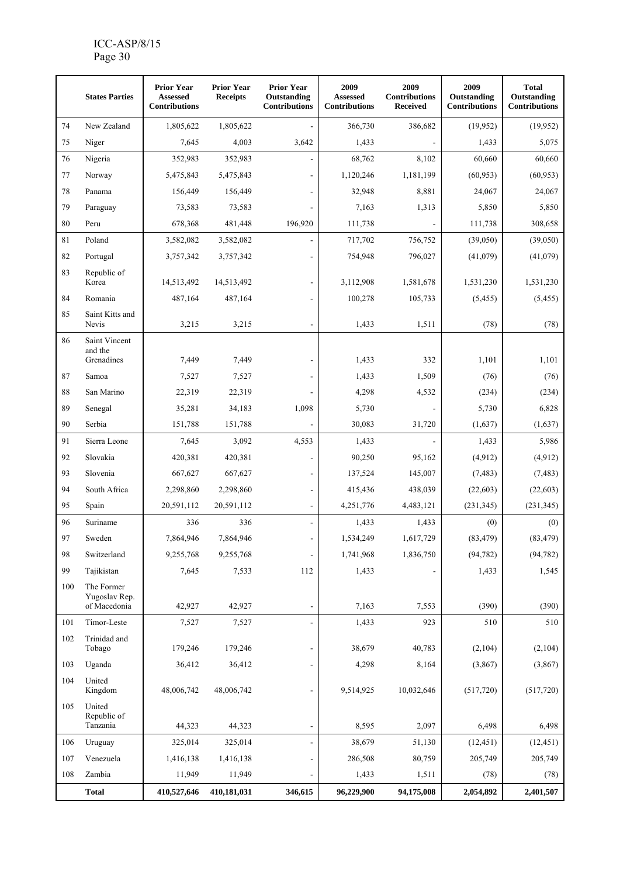## ICC-ASP/8/15 Page 30

| 2009<br><b>Prior Year</b><br><b>Prior Year</b><br><b>Prior Year</b><br><b>States Parties</b><br>Outstanding<br><b>Assessed</b><br><b>Assessed</b><br><b>Receipts</b><br><b>Contributions</b><br><b>Contributions</b><br><b>Contributions</b> | 2009<br>2009<br><b>Total</b><br>Contributions<br>Outstanding<br>Outstanding<br><b>Received</b><br><b>Contributions</b><br><b>Contributions</b> |
|----------------------------------------------------------------------------------------------------------------------------------------------------------------------------------------------------------------------------------------------|------------------------------------------------------------------------------------------------------------------------------------------------|
| 74<br>New Zealand<br>1,805,622<br>1,805,622<br>366,730                                                                                                                                                                                       | (19,952)<br>(19,952)<br>386,682                                                                                                                |
| 75<br>7,645<br>4,003<br>3,642<br>Niger<br>1,433                                                                                                                                                                                              | 1,433<br>5,075                                                                                                                                 |
| 76<br>Nigeria<br>352,983<br>352,983<br>68,762                                                                                                                                                                                                | 60,660<br>8,102<br>60,660                                                                                                                      |
| 77<br>1,120,246<br>Norway<br>5,475,843<br>5,475,843                                                                                                                                                                                          | 1,181,199<br>(60, 953)<br>(60, 953)                                                                                                            |
| 78<br>156,449<br>156,449<br>32,948<br>Panama                                                                                                                                                                                                 | 8,881<br>24,067<br>24,067                                                                                                                      |
| 79<br>73,583<br>73,583<br>7,163<br>Paraguay                                                                                                                                                                                                  | 1,313<br>5,850<br>5,850                                                                                                                        |
| 80<br>678,368<br>481,448<br>196,920<br>111,738<br>Peru                                                                                                                                                                                       | 111,738<br>308,658                                                                                                                             |
| 81<br>Poland<br>3,582,082<br>3,582,082<br>717,702                                                                                                                                                                                            | 756,752<br>(39,050)<br>(39,050)                                                                                                                |
| 82<br>Portugal<br>754,948<br>3,757,342<br>3,757,342                                                                                                                                                                                          | 796,027<br>(41,079)<br>(41,079)                                                                                                                |
| 83<br>Republic of<br>Korea<br>14,513,492<br>3,112,908<br>14,513,492                                                                                                                                                                          | 1,581,678<br>1,531,230<br>1,531,230                                                                                                            |
| 84<br>Romania<br>487,164<br>487,164<br>100,278                                                                                                                                                                                               | 105,733<br>(5, 455)<br>(5, 455)                                                                                                                |
| 85<br>Saint Kitts and<br>Nevis<br>3,215<br>3,215<br>1,433                                                                                                                                                                                    | 1,511<br>(78)<br>(78)                                                                                                                          |
| 86<br>Saint Vincent                                                                                                                                                                                                                          |                                                                                                                                                |
| and the<br>Grenadines<br>7,449<br>7,449<br>1,433                                                                                                                                                                                             | 332<br>1,101<br>1,101                                                                                                                          |
| 87<br>7,527<br>7,527<br>1,433<br>Samoa                                                                                                                                                                                                       | 1,509<br>(76)<br>(76)                                                                                                                          |
| 88<br>San Marino<br>22,319<br>22,319<br>4,298                                                                                                                                                                                                | 4,532<br>(234)<br>(234)                                                                                                                        |
| 89<br>1,098<br>35,281<br>34,183<br>5,730<br>Senegal                                                                                                                                                                                          | 5,730<br>6,828                                                                                                                                 |
| 90<br>Serbia<br>151,788<br>30,083<br>151,788                                                                                                                                                                                                 | 31,720<br>(1,637)<br>(1,637)                                                                                                                   |
| 91<br>3,092<br>4,553<br>Sierra Leone<br>7,645<br>1,433                                                                                                                                                                                       | 1,433<br>5,986                                                                                                                                 |
| 92<br>Slovakia<br>420,381<br>420,381<br>90,250                                                                                                                                                                                               | (4, 912)<br>(4,912)<br>95,162                                                                                                                  |
| 93<br>Slovenia<br>667,627<br>667,627<br>137,524                                                                                                                                                                                              | 145,007<br>(7, 483)<br>(7, 483)                                                                                                                |
| 94<br>South Africa<br>2,298,860<br>2,298,860<br>415,436                                                                                                                                                                                      | 438,039<br>(22, 603)<br>(22, 603)                                                                                                              |
| 95<br>20,591,112<br>20,591,112<br>4,251,776<br>Spain                                                                                                                                                                                         | 4,483,121<br>(231, 345)<br>(231, 345)                                                                                                          |
| 96<br>Suriname<br>336<br>336<br>1,433                                                                                                                                                                                                        | 1,433<br>(0)<br>(0)                                                                                                                            |
| 97<br>7,864,946<br>7,864,946<br>1,534,249<br>Sweden                                                                                                                                                                                          | (83, 479)<br>(83, 479)<br>1,617,729                                                                                                            |
| Switzerland<br>9,255,768<br>9,255,768<br>1,741,968<br>98<br>$\overline{a}$                                                                                                                                                                   | 1,836,750<br>(94, 782)<br>(94, 782)                                                                                                            |
| 99<br>Tajikistan<br>7,645<br>7,533<br>112<br>1,433                                                                                                                                                                                           | 1,433<br>1,545                                                                                                                                 |
| The Former<br>100<br>Yugoslav Rep.<br>of Macedonia<br>7,163<br>42,927<br>42,927                                                                                                                                                              | 7,553<br>(390)<br>(390)                                                                                                                        |
| 101<br>Timor-Leste<br>7,527<br>7,527<br>1,433                                                                                                                                                                                                | 923<br>510<br>510                                                                                                                              |
| 102<br>Trinidad and<br>Tobago<br>179,246<br>179,246<br>38,679                                                                                                                                                                                | 40,783<br>(2,104)<br>(2,104)                                                                                                                   |
| 103<br>Uganda<br>36,412<br>36,412<br>4,298                                                                                                                                                                                                   | 8,164<br>(3,867)<br>(3,867)                                                                                                                    |
| 104<br>United                                                                                                                                                                                                                                |                                                                                                                                                |
| Kingdom<br>48,006,742<br>48,006,742<br>9,514,925                                                                                                                                                                                             | 10,032,646<br>(517,720)<br>(517,720)                                                                                                           |
| 105<br>United<br>Republic of<br>Tanzania<br>8,595<br>44,323<br>44,323<br>$\overline{a}$                                                                                                                                                      | 2,097<br>6,498<br>6,498                                                                                                                        |
| 106<br>Uruguay<br>325,014<br>325,014<br>38,679                                                                                                                                                                                               | 51,130<br>(12, 451)<br>(12, 451)                                                                                                               |
| 107<br>Venezuela<br>1,416,138<br>286,508<br>1,416,138                                                                                                                                                                                        | 205,749<br>80,759<br>205,749                                                                                                                   |
| 108<br>Zambia<br>11,949<br>11,949<br>1,433                                                                                                                                                                                                   | 1,511<br>(78)<br>(78)                                                                                                                          |
| <b>Total</b><br>410,527,646<br>96,229,900<br>410,181,031<br>346,615                                                                                                                                                                          | 94,175,008<br>2,054,892<br>2,401,507                                                                                                           |